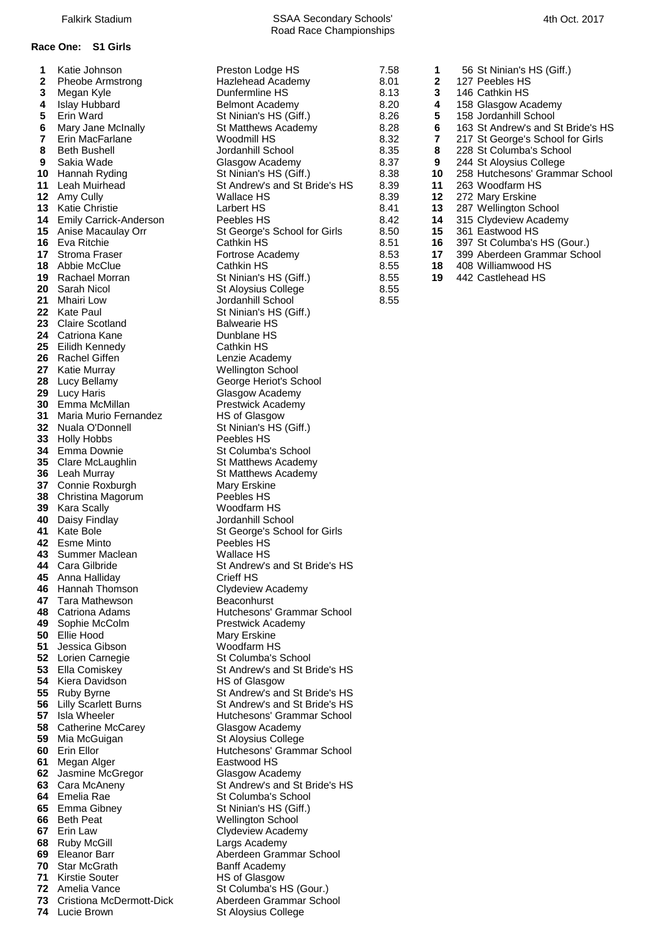### **Race One: S1 Girls**

| <b>INQUE JUITISUIT</b>      | i iesiuli Luuye i iu                                                                                                                                                                                                                                                                                                                                                                                                                                                                                                                                                                                                                                                                                                                                                                                                                                                                                                                                                                             |
|-----------------------------|--------------------------------------------------------------------------------------------------------------------------------------------------------------------------------------------------------------------------------------------------------------------------------------------------------------------------------------------------------------------------------------------------------------------------------------------------------------------------------------------------------------------------------------------------------------------------------------------------------------------------------------------------------------------------------------------------------------------------------------------------------------------------------------------------------------------------------------------------------------------------------------------------------------------------------------------------------------------------------------------------|
|                             | Hazlehead Academy                                                                                                                                                                                                                                                                                                                                                                                                                                                                                                                                                                                                                                                                                                                                                                                                                                                                                                                                                                                |
|                             | Dunfermline HS                                                                                                                                                                                                                                                                                                                                                                                                                                                                                                                                                                                                                                                                                                                                                                                                                                                                                                                                                                                   |
|                             | <b>Belmont Academy</b>                                                                                                                                                                                                                                                                                                                                                                                                                                                                                                                                                                                                                                                                                                                                                                                                                                                                                                                                                                           |
|                             | St Ninian's HS (Giff.)                                                                                                                                                                                                                                                                                                                                                                                                                                                                                                                                                                                                                                                                                                                                                                                                                                                                                                                                                                           |
|                             | St Matthews Academy                                                                                                                                                                                                                                                                                                                                                                                                                                                                                                                                                                                                                                                                                                                                                                                                                                                                                                                                                                              |
|                             | Woodmill HS                                                                                                                                                                                                                                                                                                                                                                                                                                                                                                                                                                                                                                                                                                                                                                                                                                                                                                                                                                                      |
|                             | Jordanhill School                                                                                                                                                                                                                                                                                                                                                                                                                                                                                                                                                                                                                                                                                                                                                                                                                                                                                                                                                                                |
|                             | Glasgow Academy                                                                                                                                                                                                                                                                                                                                                                                                                                                                                                                                                                                                                                                                                                                                                                                                                                                                                                                                                                                  |
| Hannah Ryding               | St Ninian's HS (Giff.)                                                                                                                                                                                                                                                                                                                                                                                                                                                                                                                                                                                                                                                                                                                                                                                                                                                                                                                                                                           |
| Leah Muirhead               | St Andrew's and St Bride's                                                                                                                                                                                                                                                                                                                                                                                                                                                                                                                                                                                                                                                                                                                                                                                                                                                                                                                                                                       |
|                             | Wallace HS                                                                                                                                                                                                                                                                                                                                                                                                                                                                                                                                                                                                                                                                                                                                                                                                                                                                                                                                                                                       |
| <b>Katie Christie</b>       | Larbert HS                                                                                                                                                                                                                                                                                                                                                                                                                                                                                                                                                                                                                                                                                                                                                                                                                                                                                                                                                                                       |
|                             | Peebles HS                                                                                                                                                                                                                                                                                                                                                                                                                                                                                                                                                                                                                                                                                                                                                                                                                                                                                                                                                                                       |
|                             | St George's School for Girls                                                                                                                                                                                                                                                                                                                                                                                                                                                                                                                                                                                                                                                                                                                                                                                                                                                                                                                                                                     |
| 16<br>Eva Ritchie           | Cathkin HS                                                                                                                                                                                                                                                                                                                                                                                                                                                                                                                                                                                                                                                                                                                                                                                                                                                                                                                                                                                       |
| 17                          | Fortrose Academy                                                                                                                                                                                                                                                                                                                                                                                                                                                                                                                                                                                                                                                                                                                                                                                                                                                                                                                                                                                 |
|                             | Cathkin HS                                                                                                                                                                                                                                                                                                                                                                                                                                                                                                                                                                                                                                                                                                                                                                                                                                                                                                                                                                                       |
|                             | St Ninian's HS (Giff.)                                                                                                                                                                                                                                                                                                                                                                                                                                                                                                                                                                                                                                                                                                                                                                                                                                                                                                                                                                           |
| 20                          | St Aloysius College                                                                                                                                                                                                                                                                                                                                                                                                                                                                                                                                                                                                                                                                                                                                                                                                                                                                                                                                                                              |
|                             | Jordanhill School                                                                                                                                                                                                                                                                                                                                                                                                                                                                                                                                                                                                                                                                                                                                                                                                                                                                                                                                                                                |
|                             | St Ninian's HS (Giff.)                                                                                                                                                                                                                                                                                                                                                                                                                                                                                                                                                                                                                                                                                                                                                                                                                                                                                                                                                                           |
|                             | <b>Balwearie HS</b>                                                                                                                                                                                                                                                                                                                                                                                                                                                                                                                                                                                                                                                                                                                                                                                                                                                                                                                                                                              |
|                             | Dunblane HS                                                                                                                                                                                                                                                                                                                                                                                                                                                                                                                                                                                                                                                                                                                                                                                                                                                                                                                                                                                      |
|                             |                                                                                                                                                                                                                                                                                                                                                                                                                                                                                                                                                                                                                                                                                                                                                                                                                                                                                                                                                                                                  |
|                             | Cathkin HS                                                                                                                                                                                                                                                                                                                                                                                                                                                                                                                                                                                                                                                                                                                                                                                                                                                                                                                                                                                       |
|                             | Lenzie Academy                                                                                                                                                                                                                                                                                                                                                                                                                                                                                                                                                                                                                                                                                                                                                                                                                                                                                                                                                                                   |
|                             | <b>Wellington School</b>                                                                                                                                                                                                                                                                                                                                                                                                                                                                                                                                                                                                                                                                                                                                                                                                                                                                                                                                                                         |
|                             | George Heriot's School                                                                                                                                                                                                                                                                                                                                                                                                                                                                                                                                                                                                                                                                                                                                                                                                                                                                                                                                                                           |
|                             | Glasgow Academy                                                                                                                                                                                                                                                                                                                                                                                                                                                                                                                                                                                                                                                                                                                                                                                                                                                                                                                                                                                  |
|                             | <b>Prestwick Academy</b>                                                                                                                                                                                                                                                                                                                                                                                                                                                                                                                                                                                                                                                                                                                                                                                                                                                                                                                                                                         |
|                             | HS of Glasgow                                                                                                                                                                                                                                                                                                                                                                                                                                                                                                                                                                                                                                                                                                                                                                                                                                                                                                                                                                                    |
|                             | St Ninian's HS (Giff.)                                                                                                                                                                                                                                                                                                                                                                                                                                                                                                                                                                                                                                                                                                                                                                                                                                                                                                                                                                           |
|                             | Peebles HS                                                                                                                                                                                                                                                                                                                                                                                                                                                                                                                                                                                                                                                                                                                                                                                                                                                                                                                                                                                       |
|                             | St Columba's School                                                                                                                                                                                                                                                                                                                                                                                                                                                                                                                                                                                                                                                                                                                                                                                                                                                                                                                                                                              |
| Clare McLaughlin            | St Matthews Academy                                                                                                                                                                                                                                                                                                                                                                                                                                                                                                                                                                                                                                                                                                                                                                                                                                                                                                                                                                              |
| Leah Murray                 | St Matthews Academy                                                                                                                                                                                                                                                                                                                                                                                                                                                                                                                                                                                                                                                                                                                                                                                                                                                                                                                                                                              |
| Connie Roxburgh             | Mary Erskine                                                                                                                                                                                                                                                                                                                                                                                                                                                                                                                                                                                                                                                                                                                                                                                                                                                                                                                                                                                     |
| Christina Magorum           | Peebles HS                                                                                                                                                                                                                                                                                                                                                                                                                                                                                                                                                                                                                                                                                                                                                                                                                                                                                                                                                                                       |
| Kara Scally                 | Woodfarm HS                                                                                                                                                                                                                                                                                                                                                                                                                                                                                                                                                                                                                                                                                                                                                                                                                                                                                                                                                                                      |
|                             | Jordanhill School                                                                                                                                                                                                                                                                                                                                                                                                                                                                                                                                                                                                                                                                                                                                                                                                                                                                                                                                                                                |
| 41 Kate Bole                | St George's School for Girls                                                                                                                                                                                                                                                                                                                                                                                                                                                                                                                                                                                                                                                                                                                                                                                                                                                                                                                                                                     |
| 42 Esme Minto               | Peebles HS                                                                                                                                                                                                                                                                                                                                                                                                                                                                                                                                                                                                                                                                                                                                                                                                                                                                                                                                                                                       |
|                             | <b>Wallace HS</b>                                                                                                                                                                                                                                                                                                                                                                                                                                                                                                                                                                                                                                                                                                                                                                                                                                                                                                                                                                                |
| Cara Gilbride               | St Andrew's and St Bride's                                                                                                                                                                                                                                                                                                                                                                                                                                                                                                                                                                                                                                                                                                                                                                                                                                                                                                                                                                       |
|                             | Crieff HS                                                                                                                                                                                                                                                                                                                                                                                                                                                                                                                                                                                                                                                                                                                                                                                                                                                                                                                                                                                        |
|                             | <b>Clydeview Academy</b>                                                                                                                                                                                                                                                                                                                                                                                                                                                                                                                                                                                                                                                                                                                                                                                                                                                                                                                                                                         |
|                             | Beaconhurst                                                                                                                                                                                                                                                                                                                                                                                                                                                                                                                                                                                                                                                                                                                                                                                                                                                                                                                                                                                      |
|                             | Hutchesons' Grammar Scho                                                                                                                                                                                                                                                                                                                                                                                                                                                                                                                                                                                                                                                                                                                                                                                                                                                                                                                                                                         |
|                             | <b>Prestwick Academy</b>                                                                                                                                                                                                                                                                                                                                                                                                                                                                                                                                                                                                                                                                                                                                                                                                                                                                                                                                                                         |
|                             | Mary Erskine                                                                                                                                                                                                                                                                                                                                                                                                                                                                                                                                                                                                                                                                                                                                                                                                                                                                                                                                                                                     |
|                             | Woodfarm HS                                                                                                                                                                                                                                                                                                                                                                                                                                                                                                                                                                                                                                                                                                                                                                                                                                                                                                                                                                                      |
|                             | St Columba's School                                                                                                                                                                                                                                                                                                                                                                                                                                                                                                                                                                                                                                                                                                                                                                                                                                                                                                                                                                              |
|                             | St Andrew's and St Bride's                                                                                                                                                                                                                                                                                                                                                                                                                                                                                                                                                                                                                                                                                                                                                                                                                                                                                                                                                                       |
|                             | <b>HS of Glasgow</b>                                                                                                                                                                                                                                                                                                                                                                                                                                                                                                                                                                                                                                                                                                                                                                                                                                                                                                                                                                             |
|                             | St Andrew's and St Bride's                                                                                                                                                                                                                                                                                                                                                                                                                                                                                                                                                                                                                                                                                                                                                                                                                                                                                                                                                                       |
|                             | St Andrew's and St Bride's                                                                                                                                                                                                                                                                                                                                                                                                                                                                                                                                                                                                                                                                                                                                                                                                                                                                                                                                                                       |
|                             |                                                                                                                                                                                                                                                                                                                                                                                                                                                                                                                                                                                                                                                                                                                                                                                                                                                                                                                                                                                                  |
|                             | Hutchesons' Grammar Scho                                                                                                                                                                                                                                                                                                                                                                                                                                                                                                                                                                                                                                                                                                                                                                                                                                                                                                                                                                         |
|                             | Glasgow Academy                                                                                                                                                                                                                                                                                                                                                                                                                                                                                                                                                                                                                                                                                                                                                                                                                                                                                                                                                                                  |
|                             | St Aloysius College                                                                                                                                                                                                                                                                                                                                                                                                                                                                                                                                                                                                                                                                                                                                                                                                                                                                                                                                                                              |
|                             | Hutchesons' Grammar Scho                                                                                                                                                                                                                                                                                                                                                                                                                                                                                                                                                                                                                                                                                                                                                                                                                                                                                                                                                                         |
|                             | Eastwood HS                                                                                                                                                                                                                                                                                                                                                                                                                                                                                                                                                                                                                                                                                                                                                                                                                                                                                                                                                                                      |
|                             | Glasgow Academy                                                                                                                                                                                                                                                                                                                                                                                                                                                                                                                                                                                                                                                                                                                                                                                                                                                                                                                                                                                  |
|                             | St Andrew's and St Bride's                                                                                                                                                                                                                                                                                                                                                                                                                                                                                                                                                                                                                                                                                                                                                                                                                                                                                                                                                                       |
|                             | St Columba's School                                                                                                                                                                                                                                                                                                                                                                                                                                                                                                                                                                                                                                                                                                                                                                                                                                                                                                                                                                              |
| Emma Gibney                 | St Ninian's HS (Giff.)                                                                                                                                                                                                                                                                                                                                                                                                                                                                                                                                                                                                                                                                                                                                                                                                                                                                                                                                                                           |
| <b>Beth Peat</b>            | <b>Wellington School</b>                                                                                                                                                                                                                                                                                                                                                                                                                                                                                                                                                                                                                                                                                                                                                                                                                                                                                                                                                                         |
| Erin Law                    | <b>Clydeview Academy</b>                                                                                                                                                                                                                                                                                                                                                                                                                                                                                                                                                                                                                                                                                                                                                                                                                                                                                                                                                                         |
| Ruby McGill                 | Largs Academy                                                                                                                                                                                                                                                                                                                                                                                                                                                                                                                                                                                                                                                                                                                                                                                                                                                                                                                                                                                    |
| Eleanor Barr                | Aberdeen Grammar School                                                                                                                                                                                                                                                                                                                                                                                                                                                                                                                                                                                                                                                                                                                                                                                                                                                                                                                                                                          |
| 70<br><b>Star McGrath</b>   | <b>Banff Academy</b>                                                                                                                                                                                                                                                                                                                                                                                                                                                                                                                                                                                                                                                                                                                                                                                                                                                                                                                                                                             |
|                             |                                                                                                                                                                                                                                                                                                                                                                                                                                                                                                                                                                                                                                                                                                                                                                                                                                                                                                                                                                                                  |
| 71 Kirstie Souter           |                                                                                                                                                                                                                                                                                                                                                                                                                                                                                                                                                                                                                                                                                                                                                                                                                                                                                                                                                                                                  |
| 72 Amelia Vance             | <b>HS of Glasgow</b><br>St Columba's HS (Gour.)                                                                                                                                                                                                                                                                                                                                                                                                                                                                                                                                                                                                                                                                                                                                                                                                                                                                                                                                                  |
| 73 Cristiona McDermott-Dick | Aberdeen Grammar School                                                                                                                                                                                                                                                                                                                                                                                                                                                                                                                                                                                                                                                                                                                                                                                                                                                                                                                                                                          |
|                             | <b>Pheobe Armstrong</b><br>Megan Kyle<br><b>Islay Hubbard</b><br>Erin Ward<br>Mary Jane McInally<br>Erin MacFarlane<br><b>Beth Bushell</b><br>Sakia Wade<br>12 Amy Cully<br><b>Emily Carrick-Anderson</b><br>Anise Macaulay Orr<br><b>Stroma Fraser</b><br>Abbie McClue<br>19 Rachael Morran<br>Sarah Nicol<br>Mhairi Low<br>22 Kate Paul<br>23 Claire Scotland<br>24 Catriona Kane<br>25 Eilidh Kennedy<br>26 Rachel Giffen<br>27 Katie Murray<br>Lucy Bellamy<br>29 Lucy Haris<br>Emma McMillan<br>Maria Murio Fernandez<br>Nuala O'Donnell<br>33 Holly Hobbs<br>34 Emma Downie<br>40 Daisy Findlay<br>43 Summer Maclean<br>Anna Halliday<br>Hannah Thomson<br>Tara Mathewson<br>Catriona Adams<br>Sophie McColm<br>Ellie Hood<br>Jessica Gibson<br>Lorien Carnegie<br>Ella Comiskey<br>Kiera Davidson<br>Ruby Byrne<br><b>Lilly Scarlett Burns</b><br>Isla Wheeler<br><b>Catherine McCarey</b><br>Mia McGuigan<br>Erin Ellor<br>Megan Alger<br>Jasmine McGregor<br>Cara McAneny<br>Emelia Rae |

**54** St Andrew's and St Bride's HS

**Hutchesons' Grammar School** 

**St Andrew's and St Bride's HS** 

**St Andrew's and St Bride's HS St Andrew's and St Bride's HS** Hutchesons' Grammar School

Hutchesons' Grammar School

**St Andrew's and St Bride's HS** 

 Katie Johnson **11 State 12 Console HS** 1 56 St Ninian's HS (Giff.)<br>Pheobe Armstrong 11 Hazlehead Academy 1 8.01 2 127 Peebles HS Dunfermline HS **8.13 3** 146 Cathkin HS<br> **1146 Cathkin HS**<br> **1158 Glasgow Academy 8.20 4** 158 Glasgow Academy 158 Glasgow Academy 8.20 **4** 158 Glasgow Academy 8.26 **5** 158 Jordanhill School 158 Jordanhill School 163 St Andrew's and St Bride's HS Woodmill HS 8.32 **7** 217 St George's School for Girls **8.35 8 228 St Columba's School 8.35 8 228 St Columba's School**  244 St Aloysius College<br> **9 244 St Aloysius College**<br> **8.38 10** 258 Hutchesons' Gramn St Ninian's HS (Giff.) 8.38 **10** 258 Hutchesons' Grammar School<br>St Andrew's and St Bride's HS 8.39 **11** 263 Woodfarm HS St Andrew's and St Bride's HS 8.39 11 Amy Erskine Wallace HS 8.39 **12** 272 Mary Erskine Larbert HS **13 13** 287 Wellington School Beebles HS<br>
15 George's School for Girls 8.50 **15** 361 Eastwood HS St George's School for Girls 8.50 **15**  Eva Ritchie Cathkin HS 8.51 **16** 397 St Columba's HS (Gour.) 8.53 **17** 399 Aberdeen Grammar School Cathkin HS<br>
18 408 Williamwood HS<br>
19 442 Castlehead HS St Ninian's HS (Giff.) 8.55 St Aloysius College 8.55 Jordanhill School 8.55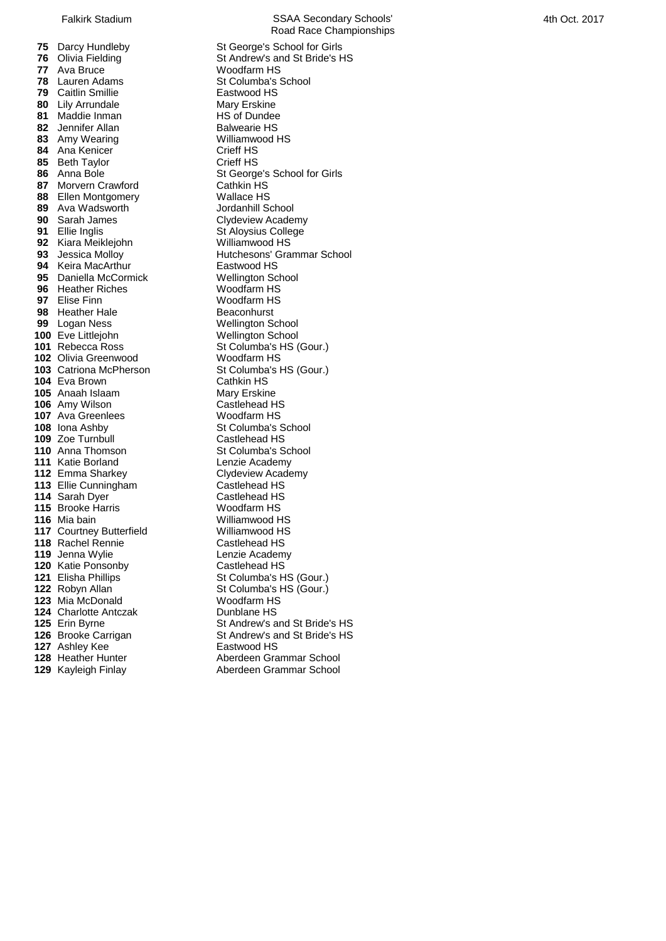Ava Bruce **Markt Constructs** Woodfarm HS<br>**78** Lauren Adams Markt St Columba's \, Caitlin Smillie **Eastwood HS**<br> **80** Lily Arrundale **Eastwood HS**  Lily Arrundale **Mary Erskine**<br> **81** Maddie Inman **Mary Harth** HS of Dundee Maddie Inman **1896 HS** of Dundee<br> **82** Jennifer Allan **HS** Balwearie HS Jennifer Allan Amy Wearing Williamwood HS Ana Kenicer Crieff HS Beth Taylor **Crieff HS**<br> **86** Anna Bole **CRIEF St George Morvern Crawford**  Ellen Montgomery<br> **89** Ava Wadsworth **Containery** Mallace HS<br>
Jordanhill School Ava Wadsworth **90** Sarah James Sarah James<br> **91** Ellie Indis<br> **91** Ellie Indis Kiara Meiklejohn<br>**93** Jessica Mollov Keira MacArthur **Eastwood HS**<br>**95** Daniella McCormick **NGC Wellington School**  Daniella McCormick **Wellington School Wellington School**<br>**96** Heather Riches Woodfarm HS **Heather Riches**  Elise Finn **Woodfarm HS**<br> **98** Heather Hale **Beacon** Beaconhurst Heather Hale<br>**99** Logan Ness Eve Littlejohn Wellington School<br>**101** Rebecca Ross St Columba's HS ( Olivia Greenwood Woodfarm HS Catriona McPherson **St Columba's HS (Gour.)**<br>**104** Eva Brown **Cathkin HS**  Eva Brown **Cathkin HS**<br> **105** Anaah Islaam **Cathkin HS**  Anaah Islaam Amy Wilson **Castlehead HS**  Ava Greenlees **Moodfarm HS**<br> **108** Iona Ashby **Columba**'s St Columba's St Columba Zoe Turnbull **Castlehead HS**  Anna Thomson<br> **111** Katie Borland<br> **111** Katie Borland<br> **111** Satisfact Lenzie Academy Katie Borland<br> **112** Emma Sharkey **Clydeview Academy**  Emma Sharkey **Clydeview Academy Clydeview Academy Castlehead HS**  Ellie Cunningham **Castlehead HS**<br> **114** Sarah Dver Castlehead HS Sarah Dyer (115) Research Castlehead HS<br> **115** Brooke Harris (115) Woodfarm HS Brooke Harris **116** Mia bain Courtney Butterfield Williamwood HS<br>**118** Rachel Rennie **Castlehead HS**  Rachel Rennie Jenna Wylie **Lenzie Academy**<br> **120** Katie Ponsonby **Castlehead HS**  Katie Ponsonby<br>**121** Elisha Phillips Mia McDonald Charlotte Antczak Dunblane HS Ashley Kee Eastwood HS Heather Hunter **128** Heather Hunter **Aberdeen Grammar School**<br>
129 Kayleigh Finlay **Aberdeen Grammar School** 

Falkirk Stadium **SSAA Secondary Schools'** Road Race Championships **75** Darcy Hundleby St George's School for Girls<br>**76** Olivia Fielding St Andrew's and St Bride's H **76** Olivia Fielding **St Andrew's and St Bride's HS**<br> **77** Ava Bruce **St Andrew's Woodfarm HS St Columba's School<br>Eastwood HS**  Anna Bole St George's School for Girls St George's School for Girls School for Girls **91** Aloysius College<br>Williamwood HS **Hutchesons' Grammar School Wellington School St Columba's HS (Gour.) St Columba's School Williamwood HS**<br>Williamwood HS **St Columba's HS (Gour.)**  Robyn Allan **St Columba's HS (Gour.)**<br>**123** Mia McDonald **St Columba** Woodfarm HS Erin Byrne St Andrew's and St Bride's HS<br>**126** Brooke Carrigan St Andrew's and St Bride's HS **St Andrew's and St Bride's HS** 

Kayleigh Finlay Aberdeen Grammar School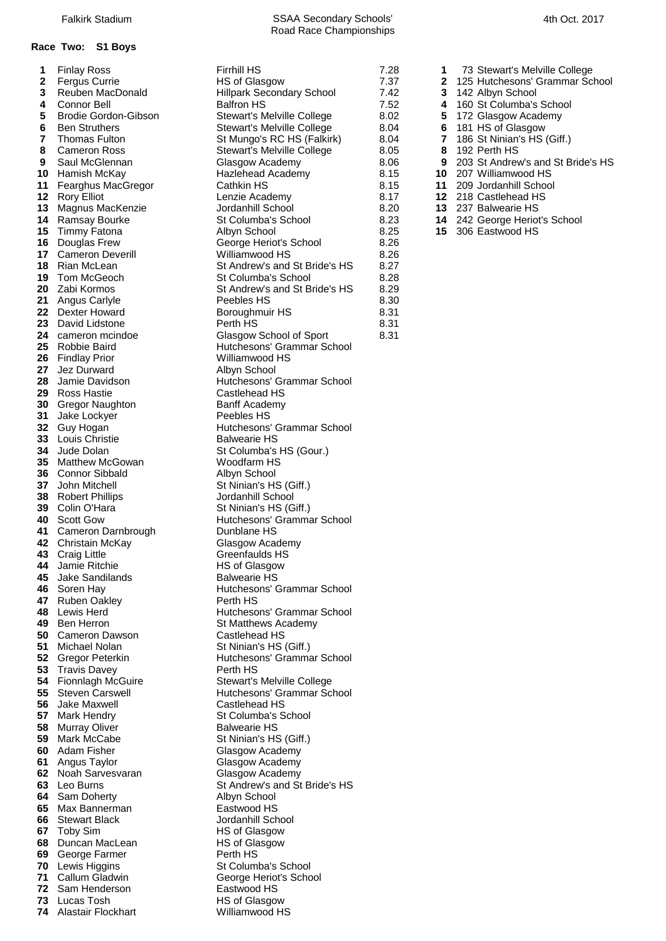## **Race Two: S1 Boys**

| 2        | i iliidy Roos<br><b>Fergus Currie</b>  | .<br><b>HS of Glasgow</b>                   |
|----------|----------------------------------------|---------------------------------------------|
| 3        | Reuben MacDonald                       | <b>Hillpark Secondary School</b>            |
| 4        | Connor Bell                            | <b>Balfron HS</b>                           |
| 5        | Brodie Gordon-Gibson                   | Stewart's Melville College                  |
| 6        | <b>Ben Struthers</b>                   | Stewart's Melville College                  |
| 7        | <b>Thomas Fulton</b>                   | St Mungo's RC HS (Falkirk)                  |
| 8        | <b>Cameron Ross</b>                    | Stewart's Melville College                  |
| 9        | Saul McGlennan                         | Glasgow Academy                             |
| 10       | Hamish McKay                           | Hazlehead Academy                           |
| 11       | Fearghus MacGregor                     | Cathkin HS                                  |
| 12       | <b>Rory Elliot</b>                     | Lenzie Academy                              |
| 13       | Magnus MacKenzie                       | Jordanhill School                           |
| 14       | Ramsay Bourke                          | St Columba's School                         |
| 15       | <b>Timmy Fatona</b>                    | Albyn School                                |
| 16       | Douglas Frew                           | George Heriot's School                      |
| 17       | <b>Cameron Deverill</b>                | Williamwood HS                              |
| 18       | Rian McLean                            | St Andrew's and St Bride's HS               |
| 19       | Tom McGeoch                            | St Columba's School                         |
| 20       | Zabi Kormos                            | St Andrew's and St Bride's HS               |
| 21       | Angus Carlyle                          | Peebles HS                                  |
| 22       | Dexter Howard                          | Boroughmuir HS                              |
| 23       | David Lidstone                         | Perth HS                                    |
| 24       | cameron mcindoe                        | Glasgow School of Sport                     |
| 25       | Robbie Baird                           | Hutchesons' Grammar School                  |
| 26       | Findlay Prior                          | Williamwood HS                              |
| 27       | Jez Durward                            | Albyn School                                |
| 28       | Jamie Davidson                         | Hutchesons' Grammar School                  |
| 29       | Ross Hastie                            | Castlehead HS                               |
| 30       | Gregor Naughton                        | <b>Banff Academy</b>                        |
| 31       | Jake Lockyer                           | Peebles HS                                  |
| 32       | Guy Hogan                              | Hutchesons' Grammar School                  |
| 33       | Louis Christie                         | <b>Balwearie HS</b>                         |
| 34       | Jude Dolan                             | St Columba's HS (Gour.)                     |
| 35       | Matthew McGowan                        | Woodfarm HS                                 |
| 36<br>37 | <b>Connor Sibbald</b><br>John Mitchell | Albyn School                                |
| 38       |                                        | St Ninian's HS (Giff.)<br>Jordanhill School |
| 39       | <b>Robert Phillips</b><br>Colin O'Hara | St Ninian's HS (Giff.)                      |
| 40       | <b>Scott Gow</b>                       | Hutchesons' Grammar School                  |
| 41       | Cameron Darnbrough                     | Dunblane HS                                 |
| 42       | Christain McKay                        | Glasgow Academy                             |
| 43       | <b>Craig Little</b>                    | Greenfaulds HS                              |
| 44       | <b>Jamie Ritchie</b>                   | <b>HS of Glasgow</b>                        |
| 45       | Jake Sandilands                        | <b>Balwearie HS</b>                         |
| 46       | Soren Hay                              | Hutchesons' Grammar School                  |
| 47       | <b>Ruben Oakley</b>                    | Perth HS                                    |
| 48       | Lewis Herd                             | Hutchesons' Grammar School                  |
| 49       | <b>Ben Herron</b>                      | St Matthews Academy                         |
| 50       | <b>Cameron Dawson</b>                  | Castlehead HS                               |
| 51       | Michael Nolan                          | St Ninian's HS (Giff.)                      |
| 52       | Gregor Peterkin                        | Hutchesons' Grammar School                  |
| 53       | <b>Travis Davey</b>                    | Perth HS                                    |
| 54       | Fionnlagh McGuire                      | Stewart's Melville College                  |
| 55       | <b>Steven Carswell</b>                 | Hutchesons' Grammar School                  |
| 56       | Jake Maxwell                           | Castlehead HS                               |
| 57       | <b>Mark Hendry</b>                     | St Columba's School                         |
| 58       | <b>Murray Oliver</b>                   | <b>Balwearie HS</b>                         |
| 59       | Mark McCabe                            | St Ninian's HS (Giff.)                      |
| 60       | Adam Fisher                            | Glasgow Academy                             |
| 61       | Angus Taylor                           | Glasgow Academy                             |
| 62       | Noah Sarvesvaran                       | Glasgow Academy                             |
| 63       | Leo Burns                              | St Andrew's and St Bride's HS               |
| 64       | Sam Doherty                            | Albyn School                                |
| 65       | Max Bannerman                          | Eastwood HS                                 |
| 66       | <b>Stewart Black</b>                   | Jordanhill School                           |
| 67<br>68 | <b>Toby Sim</b><br>Duncan MacLean      | HS of Glasgow<br><b>HS of Glasgow</b>       |
| 69       | George Farmer                          | Perth HS                                    |
| 70       | Lewis Higgins                          | St Columba's School                         |
| 71       | Callum Gladwin                         | George Heriot's School                      |
| 72       | Sam Henderson                          | Eastwood HS                                 |
| 73       | Lucas Tosh                             | <b>HS of Glasgow</b>                        |
| 74       | Alastair Flockhart                     | Williamwood HS                              |

|              |                           | <b>Firrhill HS</b>               | 7.28                 |                                   |
|--------------|---------------------------|----------------------------------|----------------------|-----------------------------------|
| 1            | <b>Finlay Ross</b>        |                                  | 1                    | 73 Stewart's Melville College     |
| $\mathbf{2}$ | <b>Fergus Currie</b>      | HS of Glasgow                    | 7.37<br>$\mathbf{2}$ | 125 Hutchesons' Grammar School    |
| 3            | Reuben MacDonald          | <b>Hillpark Secondary School</b> | 7.42<br>3            | 142 Albyn School                  |
| 4            | <b>Connor Bell</b>        | <b>Balfron HS</b>                | 7.52<br>4            | 160 St Columba's School           |
| 5            | Brodie Gordon-Gibson      | Stewart's Melville College       | 5<br>8.02            | 172 Glasgow Academy               |
| 6            | <b>Ben Struthers</b>      | Stewart's Melville College       | 8.04<br>6            | 181 HS of Glasgow                 |
| 7            | <b>Thomas Fulton</b>      | St Mungo's RC HS (Falkirk)       | 8.04<br>7            | 186 St Ninian's HS (Giff.)        |
| 8            | <b>Cameron Ross</b>       | Stewart's Melville College       | 8<br>8.05            | 192 Perth HS                      |
| 9            | Saul McGlennan            | Glasgow Academy                  | 8.06<br>9            | 203 St Andrew's and St Bride's HS |
| 10           | Hamish McKay              | Hazlehead Academy                | 8.15<br>10           | 207 Williamwood HS                |
|              | 11 Fearghus MacGregor     | Cathkin HS                       | 8.15<br>11           | 209 Jordanhill School             |
|              | 12 Rory Elliot            | Lenzie Academy                   | 8.17                 | 12 218 Castlehead HS              |
|              |                           | Jordanhill School                |                      | 13 237 Balwearie HS               |
|              | 13 Magnus MacKenzie       |                                  | 8.20                 |                                   |
|              | 14 Ramsay Bourke          | St Columba's School              | 8.23                 | 14 242 George Heriot's School     |
|              | 15 Timmy Fatona           | Albyn School                     | 8.25<br>15           | 306 Eastwood HS                   |
|              | 16 Douglas Frew           | George Heriot's School           | 8.26                 |                                   |
|              | 17 Cameron Deverill       | Williamwood HS                   | 8.26                 |                                   |
|              | 18 Rian McLean            | St Andrew's and St Bride's HS    | 8.27                 |                                   |
|              | 19 Tom McGeoch            | St Columba's School              | 8.28                 |                                   |
|              | 20 Zabi Kormos            | St Andrew's and St Bride's HS    | 8.29                 |                                   |
|              | 21 Angus Carlyle          | Peebles HS                       | 8.30                 |                                   |
|              | 22 Dexter Howard          | Boroughmuir HS                   | 8.31                 |                                   |
|              | 23 David Lidstone         | Perth HS                         | 8.31                 |                                   |
|              | 24 cameron mcindoe        | Glasgow School of Sport          | 8.31                 |                                   |
|              | 25 Robbie Baird           | Hutchesons' Grammar School       |                      |                                   |
|              | 26 Findlay Prior          | Williamwood HS                   |                      |                                   |
|              | 27 Jez Durward            | Albyn School                     |                      |                                   |
|              |                           |                                  |                      |                                   |
| 28           | Jamie Davidson            | Hutchesons' Grammar School       |                      |                                   |
|              | 29 Ross Hastie            | Castlehead HS                    |                      |                                   |
|              | 30 Gregor Naughton        | <b>Banff Academy</b>             |                      |                                   |
|              | 31 Jake Lockyer           | Peebles HS                       |                      |                                   |
|              | 32 Guy Hogan              | Hutchesons' Grammar School       |                      |                                   |
|              | 33 Louis Christie         | <b>Balwearie HS</b>              |                      |                                   |
|              | 34 Jude Dolan             | St Columba's HS (Gour.)          |                      |                                   |
|              | <b>35</b> Matthew McGowan | Woodfarm HS                      |                      |                                   |
|              | 36 Connor Sibbald         | Albyn School                     |                      |                                   |
|              | 37 John Mitchell          | St Ninian's HS (Giff.)           |                      |                                   |
|              | <b>38</b> Robert Phillips | Jordanhill School                |                      |                                   |
|              | 39 Colin O'Hara           | St Ninian's HS (Giff.)           |                      |                                   |
|              | 40 Scott Gow              | Hutchesons' Grammar School       |                      |                                   |
|              | 41 Cameron Darnbrough     | Dunblane HS                      |                      |                                   |
|              |                           |                                  |                      |                                   |
|              | <b>42</b> Christain McKay | Glasgow Academy                  |                      |                                   |
|              | 43 Craig Little           | Greenfaulds HS                   |                      |                                   |
|              | 44 Jamie Ritchie          | HS of Glasgow                    |                      |                                   |
|              | 45 Jake Sandilands        | <b>Balwearie HS</b>              |                      |                                   |
|              | 46 Soren Hay              | Hutchesons' Grammar School       |                      |                                   |
|              | 47 Ruben Oakley           | Perth HS                         |                      |                                   |
|              | 48 Lewis Herd             | Hutchesons' Grammar School       |                      |                                   |
|              | 49 Ben Herron             | St Matthews Academy              |                      |                                   |
|              | 50 Cameron Dawson         | Castlehead HS                    |                      |                                   |
|              | 51 Michael Nolan          | St Ninian's HS (Giff.)           |                      |                                   |
|              | 52 Gregor Peterkin        | Hutchesons' Grammar School       |                      |                                   |
|              | 53 Travis Davey           | Perth HS                         |                      |                                   |
|              | 54 Fionnlagh McGuire      | Stewart's Melville College       |                      |                                   |
|              | 55 Steven Carswell        | Hutchesons' Grammar School       |                      |                                   |
|              | 56 Jake Maxwell           | Castlehead HS                    |                      |                                   |
|              | 57 Mark Hendry            | St Columba's School              |                      |                                   |
|              |                           | <b>Balwearie HS</b>              |                      |                                   |
|              | 58 Murray Oliver          |                                  |                      |                                   |
|              | 59 Mark McCabe            | St Ninian's HS (Giff.)           |                      |                                   |
|              | 60 Adam Fisher            | Glasgow Academy                  |                      |                                   |
|              | 61 Angus Taylor           | Glasgow Academy                  |                      |                                   |
|              | 62 Noah Sarvesvaran       | Glasgow Academy                  |                      |                                   |
|              | 63 Leo Burns              | St Andrew's and St Bride's HS    |                      |                                   |
|              | 64 Sam Doherty            | Albyn School                     |                      |                                   |
|              | 65 Max Bannerman          | Eastwood HS                      |                      |                                   |
|              | 66 Stewart Black          | Jordanhill School                |                      |                                   |
|              | 67 Toby Sim               | HS of Glasgow                    |                      |                                   |
|              | 68 Duncan MacLean         | HS of Glasgow                    |                      |                                   |
|              | 69 George Farmer          | Perth HS                         |                      |                                   |
|              | 70 Lewis Higgins          | St Columba's School              |                      |                                   |
|              |                           |                                  |                      |                                   |

Road Race Championships

- 
- 
- **3 142 Albyn School 7.52 4 4 160 St Columbal's** 
	-
- 52 **4** 160 St Columba's School<br>.02 **5** 172 Glasgow Academy
- 02 **5** 172 Glasgow Academy<br>04 **6** 181 HS of Glasgow
- **6 6** 181 HS of Glasgow<br> **7** 186 St Ninian's HS 186 St Ninian's HS (Giff.)
- Cameron Ross Stewart's Melville College 8.05 **8** 192 Perth HS
- **9** 203 St Andrew's and St Bride's HS<br>**10** 207 Williamwood HS
	-
- read 10 207 Williamwood HS<br>**11** 209 Jordanhill School Fearghus MacGregor Cathkin HS 8.15 **11** 209 Jordanhill School
	-
- **12** 218 Castlehead HS<br>1**3** 237 Balwearie HS
- 13 237 Balwearie HS.<br>14 242 George Heriot
	-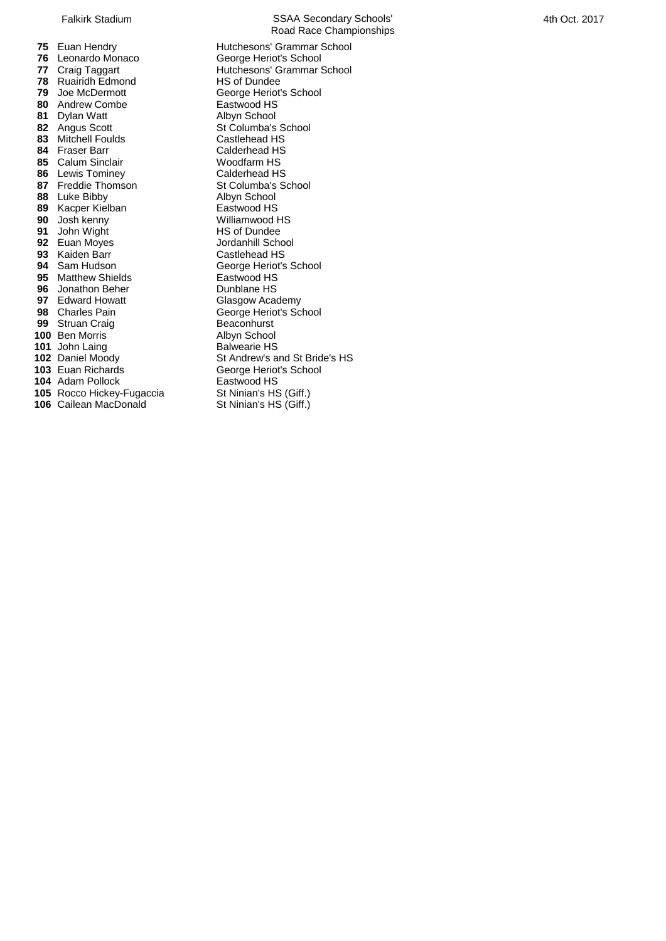Leonardo Monaco<br> **77** Craig Taggart<br> **77** Craig Taggart<br> **1888** Hutchesons' Grammar S Ruairidh Edmond<br>**79** Joe McDermott Andrew Combe **Eastwood HS**<br> **81** Dylan Watt **Eastwood HS** 81 Dylan Watt<br>82 Angus Scott 83 Mitchell Foulds 84 Fraser Barr **Calderhead HS**  Calum Sinclair **1886** Lewis Tominey **Calder Calderhead HS**  Lewis Tominey **Calderhead HS**<br> **87** Freddie Thomson **Calcumba** St Columba's School Freddie Thomson Luke Bibby **Albyn School**<br> **89** Kacper Kielban **Albyn School** HS Kacper Kielban Eastwood HS Josh kenny Williamwood H<br>**91** John Wight **HS** of Dundee John Wight **1912 1913** HS of Dundee<br> **1914** Euan Moves **Howard School**  Euan Moyes **Canadian School School School School School School School School School School School School S<br>
<b>93** Kaiden Barr Castlehead HS Kaiden Barr<br>**94** Sam Hudson Matthew Shields **Eastwood HS**<br>**96** Jonathon Beher **National Property** Dunblane HS Jonathon Beher **Dunblane HS**<br>**97** Edward Howatt **Glasgow Academy**  Edward Howatt<br>**98** Charles Pain Struan Craig **Beaconhurst**<br>**100** Ben Morris **Beacon Burney Structure Albyn School**  Ben Morris **100** Albyn School<br>**101** John Laing **Balwearie HS**  John Laing<br>**102** Daniel Moody Adam Pollock **Eastwood HS**<br>**105** Rocco Hickey-Fugaccia **East St Ninian's HS** (Giff.) Rocco Hickey-Fugaccia St Ninian's HS (Giff.)<br>**106** Cailean MacDonald St Ninian's HS (Giff.) Cailean MacDonald

Falkirk Stadium SSAA Secondary Schools' Road Race Championships Euan Hendry **Hutchesons' Grammar School**<br>**76** Leonardo Monaco **George Heriot's School**  Hutchesons' Grammar School<br>**HS** of Dundee *George Heriot's School*<br>Eastwood HS St Columba's School<br>Castlehead HS George Heriot's School<br>Eastwood HS George Heriot's School<br>Beaconhurst Daniel Moody<br> **103** Euan Richards<br> **103** Euan Richards<br> **Secript Branch School** George Heriot's School<br>Eastwood HS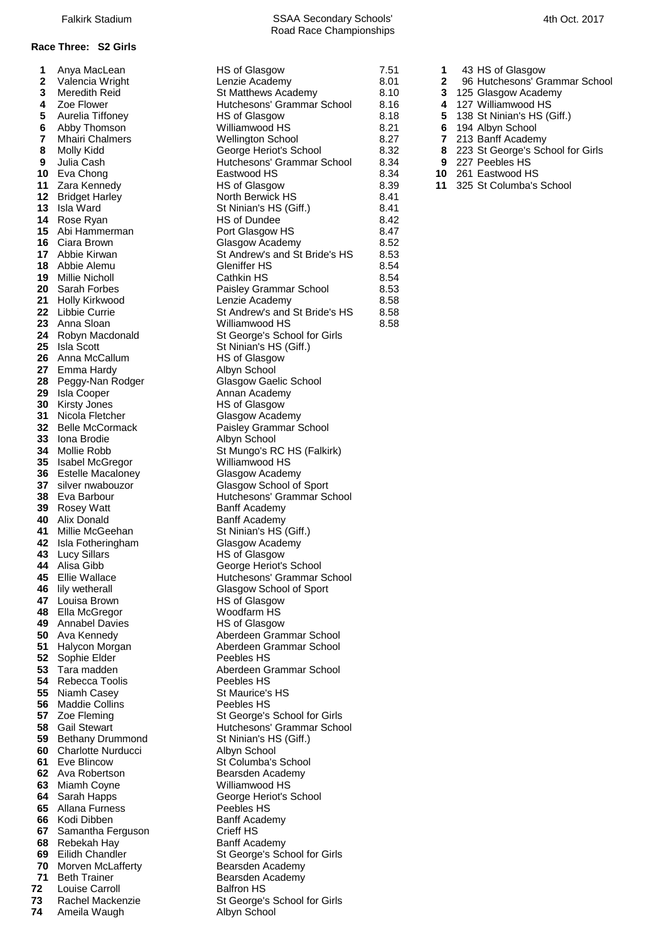# Anya MacLean HS of Glasgow 7.51 **1** 43 HS of Glasgow

- **26 Hutchesons' Grammar School**
- 
- 
- -
	-
- 
- 
- 

 Isla Ward St Ninian's HS (Giff.) Isla Scott **Callum** St Ninian's HS (Giff.)<br> **26** Anna McCallum **St HS of Glasgow**  Anna McCallum Emma Hardy **Albyn School**<br>18 Peggy-Nan Rodger **Albyn School** Glasgow Gaelic School 28 Peggy-Nan Rodger Isla Cooper **Annan Academy**  Kirsty Jones **HS** of Glasgow Nicola Fletcher Glasgow Academy Belle McCormack Paisley Grammar School Iona Brodie **Albyn** School Isabel McGregor Williamwood HS Estelle Macaloney **Glasgow Academy**  silver nwabouzor Glasgow School of Sport Rosey Watt Alix Donald Banff Academy<br>**41** Millie McGeehan **Band St Ninian's HS**  Isla Fotheringham Glasgow Academy Lucy Sillars **HS** of Glasgow Alisa Gibb **George Heriot's School**<br>**45** Ellie Wallace **George Heriot** Hutchesons' Grammar ( lily wetherall **46** lily wetherall Glasgow School of Sport<br>**47** Louisa Brown **Glasgow** HS of Glasgow Louisa Brown Ella McGregor Woodfarm HS Annabel Davies **HS** of Glasgow Sophie Elder **Peebles HS**  Rebecca Toolis **Peebles HS**  Niamh Casey St Maurice's HS Maddie Collins **Peebles HS**<br> **57** Zoe Fleming **Part St George's**  Bethany Drummond St Ninian's HS (Giff.) Charlotte Nurducci Albyn School Eve Blincow St Columba's School Ava Robertson **Bearsden Academy**  Miamh Coyne Williamwood HS Sarah Happs **George Heriot's School**  Allana Furness Peebles HS Kodi Dibben Banff Academy Samantha Ferguson Crieff HS Rebekah Hay **Banff Academy** Morven McLafferty **Bearsden Academy** 

 Meredith Reid **3** 125 Glasgow Academy **8.10 3** 125 Glasgow Academy<br> **4** Zoe Flower **8.16 4** 127 Williamwood HS Zoe Flower **18 Australian Hutchesons' Grammar School** 8.16 Aurelia Tiffoney HS of Glasgow 8.18 **5** 138 St Ninian's HS (Giff.) Abby Thomson Williamwood HS 8.21 **6** 194 Albyn School Mhairi Chalmers Wellington School 8.27 **7** 213 Banff Academy Molly Kidd George Heriot's School 8.32 **8** 223 St George's School for Girls Julia Cash **Hutchesons' Grammar School 8.34 9** 227 Peebles HS Eva Chong Eastwood HS 8.34 **10** 261 Eastwood HS Zara Kennedy HS of Glasgow 8.39 **11** 325 St Columba's School Bridget Harley **North Berwick HS** 8.41<br>**13** Isla Ward **North Berwick HS** (Giff.) 8.41 Rose Ryan **HS** of Dundee 8.42 Abi Hammerman **Port Glasgow HS** 8.47 Ciara Brown Glasgow Academy 8.52 Abbie Kirwan St Andrew's and St Bride's HS 8.53 Abbie Alemu **Gleniffer HS** 8.54 Millie Nicholl **Cathkin HS** 8.54 Sarah Forbes Paisley Grammar School 8.53 Holly Kirkwood Lenzie Academy 8.58 Libbie Currie **22** St Andrew's and St Bride's HS 8.58<br> **23** Anna Sloan **St Andrew** Williamwood HS 8.58 Anna Sloan Williamwood HS 8.58 24 Robyn Macdonald St George's School for Girls Mollie Robb St Mungo's RC HS (Falkirk) Eva Barbour **Music Eva Barbour** Hutchesons' Grammar School<br>**39** Rosey Watt **Hutches** Banff Academy **51 Ninian's HS (Giff.)** Hutchesons' Grammar School Ava Kennedy **Aberdeen Grammar School**  Halycon Morgan Aberdeen Grammar School Tara madden **Aberdeen Grammar School**  Zoe Fleming St George's School for Girls<br> **58** Gail Stewart School Flutchesons' Grammar School for Girls **Hutchesons' Grammar School**  Eilidh Chandler St George's School for Girls Beth Trainer **Bearsden Academy**  Louise Carroll **Balfron HS**  Rachel Mackenzie St George's School for Girls Ameila Waugh **Albyn School**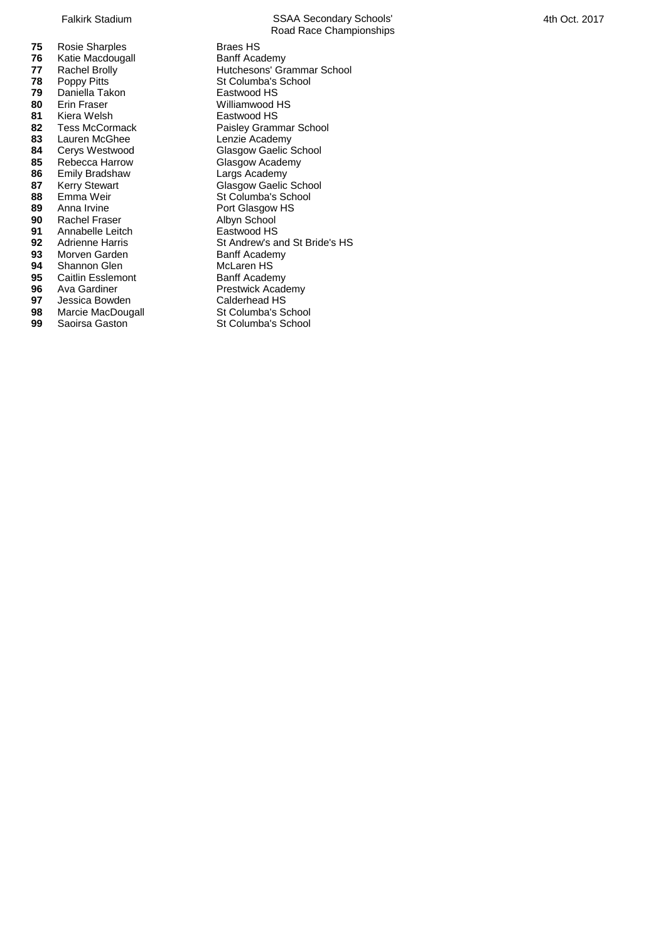| 75   | Rosie Sharples           | Braes HS                |
|------|--------------------------|-------------------------|
| 76   | Katie Macdougall         | Banff Academy           |
| 77   | Rachel Brolly            | Hutchesons' Grammar     |
| 78   | Poppy Pitts              | St Columba's School     |
| 79   | Daniella Takon           | Eastwood HS             |
| 80   | <b>Erin Fraser</b>       | Williamwood HS          |
| 81   | Kiera Welsh              | Eastwood HS             |
| 82   | <b>Tess McCormack</b>    | Paisley Grammar Scho    |
| 83   | Lauren McGhee            | Lenzie Academy          |
| 84   | Cerys Westwood           | Glasgow Gaelic School   |
| 85   | Rebecca Harrow           | Glasgow Academy         |
| 86   | <b>Emily Bradshaw</b>    | Largs Academy           |
| 87   | <b>Kerry Stewart</b>     | Glasgow Gaelic School   |
| 88   | Emma Weir                | St Columba's School     |
| 89   | Anna Irvine              | Port Glasgow HS         |
| 90   | Rachel Fraser            | Albyn School            |
| 91   | Annabelle Leitch         | Eastwood HS             |
| 92   | <b>Adrienne Harris</b>   | St Andrew's and St Brid |
| 93   | Morven Garden            | <b>Banff Academy</b>    |
| 94   | Shannon Glen             | McLaren HS              |
| 95   | <b>Caitlin Esslemont</b> | Banff Academy           |
| 96 - | Ava Gardiner             | Prestwick Academy       |
| 97   | Jessica Bowden           | Calderhead HS           |
| ۵Q   | Marcia MacDougall        | St Columba's School     |

- **98** Marcie MacDougall St Columba's School<br> **99** Saoirsa Gaston<br>
St Columba's School
- Falkirk Stadium SSAA Secondary Schools' Road Race Championships **Braes HS Banff Academy 77** Rachel Brolly **Reserve Access** Hutchesons' Grammar School  $E$ astwood HS Williamwood HS **Eastwood HS Paisley Grammar School** Lenzie Academy Largs Academy **878** Glasgow Gaelic School **St Columba's School Port Glasgow HS** Albyn School **Bastwood HS 92** St Andrew's and St Bride's HS **Banff Academy McLaren HS Banff Academy Prestwick Academy Calderhead HS 99** St Columba's School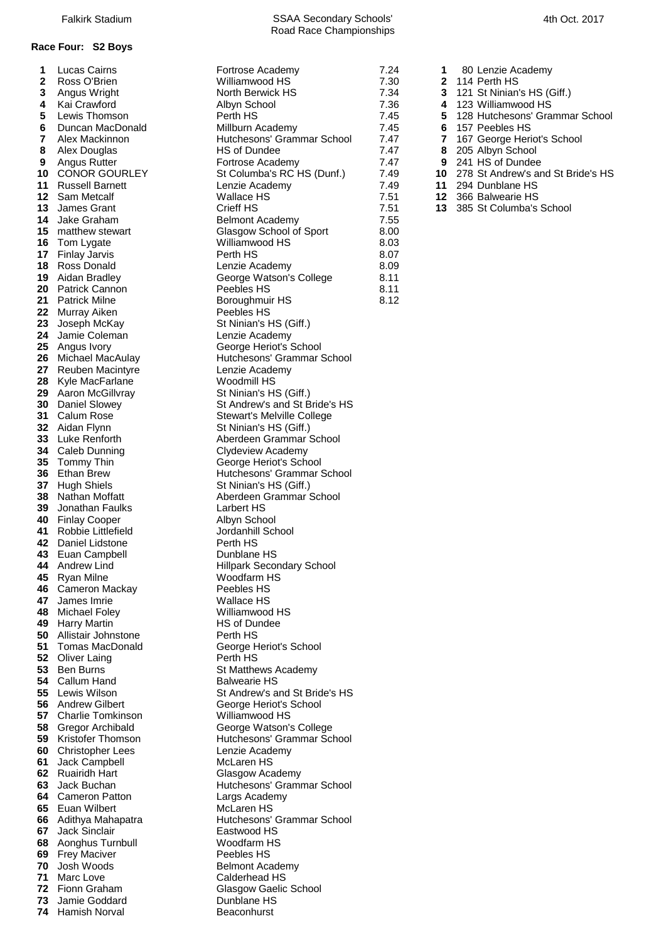## **Race Four: S2 Boys**

| 1        | Lucas Cairns                           | Fortrose Academy                                   |
|----------|----------------------------------------|----------------------------------------------------|
| 2        | Ross O'Brien                           | Williamwood HS                                     |
| 3        | Angus Wright                           | North Berwick HS                                   |
| 4        | Kai Crawford                           | Albyn School                                       |
| 5<br>6   | Lewis Thomson<br>Duncan MacDonald      | Perth HS<br>Millburn Academy                       |
| 7        | Alex Mackinnon                         | Hutchesons' Grammar Sch                            |
| 8        | Alex Douglas                           | HS of Dundee                                       |
| 9        | Angus Rutter                           | Fortrose Academy                                   |
| 10       | <b>CONOR GOURLEY</b>                   | St Columba's RC HS (Dun                            |
| 11       | <b>Russell Barnett</b>                 | Lenzie Academy                                     |
| 12       | Sam Metcalf                            | <b>Wallace HS</b>                                  |
| 13       | James Grant                            | Crieff HS                                          |
| 14       | Jake Graham                            | <b>Belmont Academy</b>                             |
| 15       | matthew stewart                        | Glasgow School of Sport                            |
| 16       | Tom Lygate                             | Williamwood HS                                     |
| 17       | <b>Finlay Jarvis</b>                   | Perth HS                                           |
| 18       | Ross Donald                            | Lenzie Academy                                     |
| 19       | Aidan Bradley                          | George Watson's College                            |
| 20<br>21 | Patrick Cannon<br><b>Patrick Milne</b> | Peebles HS                                         |
| 22       | Murray Aiken                           | Boroughmuir HS<br>Peebles HS                       |
| 23       | Joseph McKay                           | St Ninian's HS (Giff.)                             |
| 24       | Jamie Coleman                          | Lenzie Academy                                     |
| 25       | Angus Ivory                            | George Heriot's School                             |
| 26       | Michael MacAulay                       | Hutchesons' Grammar Sch                            |
| 27       | <b>Reuben Macintyre</b>                | Lenzie Academy                                     |
| 28       | Kyle MacFarlane                        | Woodmill HS                                        |
| 29       | Aaron McGillvray                       | St Ninian's HS (Giff.)                             |
| 30       | Daniel Slowey                          | St Andrew's and St Bride's                         |
| 31       | Calum Rose                             | Stewart's Melville College                         |
| 32       | Aidan Flynn                            | St Ninian's HS (Giff.)                             |
| 33<br>34 | Luke Renforth                          | Aberdeen Grammar Schoo<br><b>Clydeview Academy</b> |
| 35       | Caleb Dunning<br>Tommy Thin            | George Heriot's School                             |
| 36       | <b>Ethan Brew</b>                      | Hutchesons' Grammar Sch                            |
| 37       | <b>Hugh Shiels</b>                     | St Ninian's HS (Giff.)                             |
| 38       | Nathan Moffatt                         | Aberdeen Grammar Schoo                             |
| 39       | Jonathan Faulks                        | Larbert HS                                         |
| 40       | <b>Finlay Cooper</b>                   | Albyn School                                       |
| 41       | Robbie Littlefield                     | Jordanhill School                                  |
| 43       | 42 Daniel Lidstone                     | Perth HS                                           |
| 44       | Euan Campbell<br>Andrew Lind           | Dunblane HS<br><b>Hillpark Secondary School</b>    |
| 45       | Ryan Milne                             | Woodfarm HS                                        |
| 46       | Cameron Mackay                         | Peebles HS                                         |
| 47       | James Imrie                            | <b>Wallace HS</b>                                  |
| 48       | Michael Foley                          | Williamwood HS                                     |
| 49       | <b>Harry Martin</b>                    | <b>HS of Dundee</b>                                |
| 50       | Allistair Johnstone                    | Perth HS                                           |
| 51       | <b>Tomas MacDonald</b>                 | George Heriot's School                             |
| 52       | <b>Oliver Laing</b>                    | Perth HS                                           |
| 53<br>54 | <b>Ben Burns</b><br>Callum Hand        | St Matthews Academy<br><b>Balwearie HS</b>         |
| 55       | Lewis Wilson                           | St Andrew's and St Bride's                         |
| 56       | <b>Andrew Gilbert</b>                  | George Heriot's School                             |
| 57       | <b>Charlie Tomkinson</b>               | Williamwood HS                                     |
| 58       | Gregor Archibald                       | George Watson's College                            |
| 59       | Kristofer Thomson                      | Hutchesons' Grammar Sch                            |
| 60       | <b>Christopher Lees</b>                | Lenzie Academy                                     |
| 61       | Jack Campbell                          | McLaren HS                                         |
| 62       | <b>Ruairidh Hart</b>                   | Glasgow Academy                                    |
| 63       | Jack Buchan                            | Hutchesons' Grammar Sch                            |
| 64       | <b>Cameron Patton</b><br>Euan Wilbert  | Largs Academy<br><b>McLaren HS</b>                 |
| 65<br>66 | Adithya Mahapatra                      | Hutchesons' Grammar Sch                            |
| 67       | Jack Sinclair                          | Eastwood HS                                        |
| 68       | Aonghus Turnbull                       | Woodfarm HS                                        |
| 69       | <b>Frey Maciver</b>                    | Peebles HS                                         |
| 70       | Josh Woods                             | <b>Belmont Academy</b>                             |
|          | 71 Marc Love                           | Calderhead HS                                      |
|          | 72 Fionn Graham                        | Glasgow Gaelic School                              |
| 73       | Jamie Goddard                          | Dunblane HS                                        |
|          | 74 Hamish Norval                       | Beaconhurst                                        |

| 1            | Lucas Cairns                              | Fortrose Academy                                   | 7.24         | 1            | 80 Lenzie Academy              |
|--------------|-------------------------------------------|----------------------------------------------------|--------------|--------------|--------------------------------|
| $\mathbf{2}$ | Ross O'Brien                              | Williamwood HS                                     | 7.30         | $\mathbf{2}$ | 114 Perth HS                   |
| 3            | Angus Wright                              | North Berwick HS                                   | 7.34         | 3            | 121 St Ninian's HS (Giff.)     |
| 4            | Kai Crawford                              | Albyn School                                       | 7.36         | 4            | 123 Williamwood HS             |
| 5            | Lewis Thomson                             | Perth HS                                           | 7.45         | 5            | 128 Hutchesons' Grammar        |
| 6            | Duncan MacDonald                          | Millburn Academy                                   | 7.45         | 6            | 157 Peebles HS                 |
| 7            | Alex Mackinnon                            | Hutchesons' Grammar School                         | 7.47         | 7            | 167 George Heriot's School     |
| 8            | Alex Douglas                              | HS of Dundee                                       | 7.47         | 8            | 205 Albyn School               |
| 9            | Angus Rutter                              | Fortrose Academy                                   | 7.47         | 9            | 241 HS of Dundee               |
|              | 10 CONOR GOURLEY                          | St Columba's RC HS (Dunf.)                         | 7.49         |              | 10 278 St Andrew's and St Brid |
|              | 11 Russell Barnett                        | Lenzie Academy                                     | 7.49         |              | 11 294 Dunblane HS             |
|              | 12 Sam Metcalf                            | Wallace HS                                         | 7.51         |              | 12 366 Balwearie HS            |
|              | 13 James Grant<br>14 Jake Graham          | Crieff HS                                          | 7.51         |              | 13 385 St Columba's School     |
|              | <b>15</b> matthew stewart                 | <b>Belmont Academy</b><br>Glasgow School of Sport  | 7.55<br>8.00 |              |                                |
|              | 16 Tom Lygate                             | Williamwood HS                                     | 8.03         |              |                                |
|              | 17 Finlay Jarvis                          | Perth HS                                           | 8.07         |              |                                |
|              | 18 Ross Donald                            | Lenzie Academy                                     | 8.09         |              |                                |
|              | 19 Aidan Bradley                          | George Watson's College                            | 8.11         |              |                                |
|              | 20 Patrick Cannon                         | Peebles HS                                         | 8.11         |              |                                |
|              | 21 Patrick Milne                          | Boroughmuir HS                                     | 8.12         |              |                                |
|              | 22 Murray Aiken                           | Peebles HS                                         |              |              |                                |
|              | 23 Joseph McKay                           | St Ninian's HS (Giff.)                             |              |              |                                |
|              | 24 Jamie Coleman                          | Lenzie Academy                                     |              |              |                                |
|              | 25 Angus Ivory                            | George Heriot's School                             |              |              |                                |
|              | 26 Michael MacAulay                       | Hutchesons' Grammar School                         |              |              |                                |
|              | 27 Reuben Macintyre                       | Lenzie Academy                                     |              |              |                                |
|              | 28 Kyle MacFarlane                        | Woodmill HS                                        |              |              |                                |
|              | 29 Aaron McGillvray                       | St Ninian's HS (Giff.)                             |              |              |                                |
|              | 30 Daniel Slowey                          | St Andrew's and St Bride's HS                      |              |              |                                |
|              | 31 Calum Rose                             | Stewart's Melville College                         |              |              |                                |
|              | 32 Aidan Flynn                            | St Ninian's HS (Giff.)                             |              |              |                                |
|              | 33 Luke Renforth                          | Aberdeen Grammar School                            |              |              |                                |
|              | 34 Caleb Dunning<br>35 Tommy Thin         | <b>Clydeview Academy</b><br>George Heriot's School |              |              |                                |
|              | 36 Ethan Brew                             | Hutchesons' Grammar School                         |              |              |                                |
|              | 37 Hugh Shiels                            | St Ninian's HS (Giff.)                             |              |              |                                |
|              | 38 Nathan Moffatt                         | Aberdeen Grammar School                            |              |              |                                |
| 39           | Jonathan Faulks                           | Larbert HS                                         |              |              |                                |
|              | 40 Finlay Cooper                          | Albyn School                                       |              |              |                                |
|              | 41 Robbie Littlefield                     | Jordanhill School                                  |              |              |                                |
|              | 42 Daniel Lidstone                        | Perth HS                                           |              |              |                                |
|              | 43 Euan Campbell                          | Dunblane HS                                        |              |              |                                |
|              | <b>44</b> Andrew Lind                     | Hillpark Secondary School                          |              |              |                                |
|              | 45 Ryan Milne                             | Woodfarm HS                                        |              |              |                                |
|              | 46 Cameron Mackay                         | Peebles HS                                         |              |              |                                |
|              | 47 James Imrie                            | Wallace HS                                         |              |              |                                |
|              | 48 Michael Foley                          | Williamwood HS<br>HS of Dundee                     |              |              |                                |
|              | 49 Harry Martin<br>50 Allistair Johnstone | Perth HS                                           |              |              |                                |
|              | 51 Tomas MacDonald                        | George Heriot's School                             |              |              |                                |
|              | 52 Oliver Laing                           | Perth HS                                           |              |              |                                |
|              | 53 Ben Burns                              | St Matthews Academy                                |              |              |                                |
|              | 54 Callum Hand                            | <b>Balwearie HS</b>                                |              |              |                                |
|              | 55 Lewis Wilson                           | St Andrew's and St Bride's HS                      |              |              |                                |
|              | 56 Andrew Gilbert                         | George Heriot's School                             |              |              |                                |
|              | 57 Charlie Tomkinson                      | Williamwood HS                                     |              |              |                                |
|              | 58 Gregor Archibald                       | George Watson's College                            |              |              |                                |
|              | 59 Kristofer Thomson                      | Hutchesons' Grammar School                         |              |              |                                |
|              | 60 Christopher Lees                       | Lenzie Academy                                     |              |              |                                |
| 61           | Jack Campbell                             | McLaren HS                                         |              |              |                                |
|              | 62 Ruairidh Hart                          | Glasgow Academy                                    |              |              |                                |
|              | 63 Jack Buchan                            | Hutchesons' Grammar School                         |              |              |                                |
|              | 64 Cameron Patton                         | Largs Academy                                      |              |              |                                |
|              | 65 Euan Wilbert                           | McLaren HS<br>Hutchesons' Grammar School           |              |              |                                |
|              | 66 Adithya Mahapatra<br>67 Jack Sinclair  | Eastwood HS                                        |              |              |                                |
|              | 68 Aonghus Turnbull                       | Woodfarm HS                                        |              |              |                                |
|              | 69 Frey Maciver                           | Peebles HS                                         |              |              |                                |
|              | 70 Josh Woods                             | <b>Belmont Academy</b>                             |              |              |                                |
|              | 71 Marc Love                              | Calderhead HS                                      |              |              |                                |
|              | 72 Fionn Graham                           | Glasgow Gaelic School                              |              |              |                                |
|              | <b>73</b> Jamie Goddard                   | Dunblane HS                                        |              |              |                                |
|              | <b>74</b> Llomich Norvel                  | $D$ ooooburat                                      |              |              |                                |

| 80 Lenzie Academ |
|------------------|
|                  |

- 
- **2 2** 114 Perth HS<br>**2 2** 121 St Ninian' **7.34 3** 121 St Ninian's HS (Giff.)<br>7.36 **4** 123 Williamwood HS
- Kai Crawford Albyn School 7.36 **4** 123 Williamwood HS
- 128 Hutchesons' Grammar School<br>**5 5** 157 Peebles HS
	-
- **7.45 6** 157 Peebles HS<br>**7.47 6** 205 Albyn Schoor<br>**8** 205 Albyn Schoor
	-
	-
- CONOR St Andrew's and St Bride's HS<br>11 294 Dunblane HS
- 294 Dunblane HS<br>**12** 366 Balwearie HS
	-
- 366 Balwearie HS<br>**13** 385 St Columba's 385 St Columba's School<br>7.55<br>8.00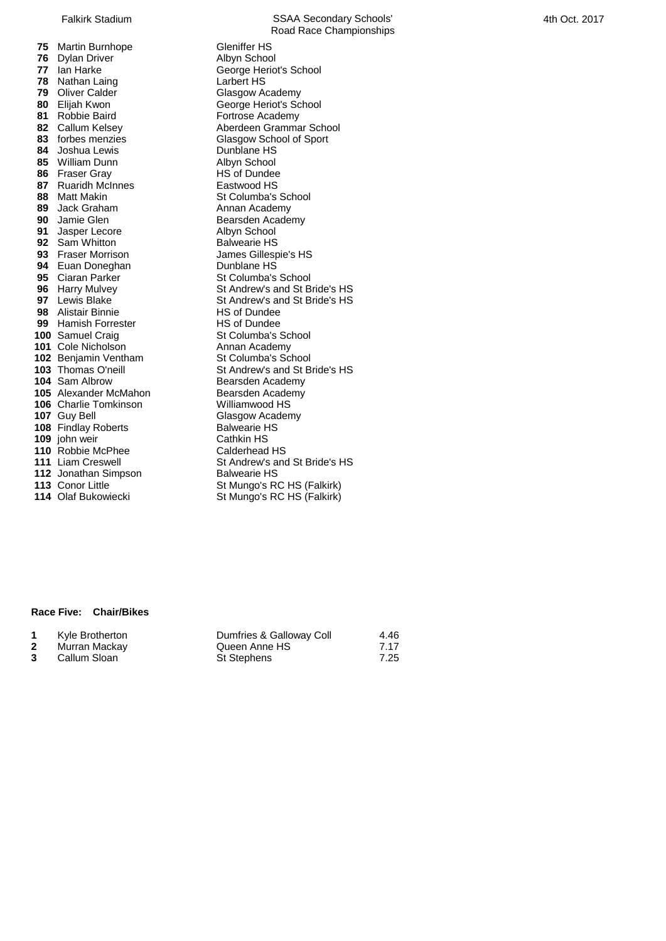Martin Burnhope **Gleniffer HS**<br>**76** Dylan Driver **Gleat Contract Albyn School**  Dylan Driver<br>**77** Ian Harke Nathan Laing<br> **79** Oliver Calder<br> **79** Oliver Calder<br> **Clasgow Academy**  Oliver Calder<br>**80** Elijah Kwon Elijah Kwon George Heriot's School<br>**81** Robbie Baird **George Heriots** Fortrose Academy Robbie Baird<br> **82** Callum Kelsey **Robert Aberdeen Gramma**  Joshua Lewis **Dunblane HS**  William Dunn **Albyn School**<br> **86** Fraser Gray **Albyn School**<br>
HS of Dundee Fraser Gray **HS of Dundee**<br> **87** Ruaridh McInnes **HS** Eastwood HS Ruaridh McInnes Matt Makin St Columba's School<br> **89** Jack Graham St Annan Academy Jack Graham **Annan Academy**<br> **90** Jamie Glen **Annan Academy** Bearsden Academy Jasper Lecore **Albyn School**<br> **92** Sam Whitton **Albyn School**<br>
Balwearie HS Sam Whitton<br>**93** Fraser Morrison Euan Doneghan **Dunblane HS**<br>**95** Ciaran Parker **Dunbang Step Step Step Step Step Step School**  Ciaran Parker<br>**96** Harry Mulvey Alistair Binnie<br> **99** Hamish Forrester<br>
HS of Dundee Hamish Forrester Samuel Craig St Columba's School Cole Nicholson **Annan Academy**<br> **102** Beniamin Ventham **Annan St** Columba's School Benjamin Ventham Alexander McMahon Charlie Tomkinson Williamwood HS Guy Bell **107** Glasgow Academy<br> **108** Findlav Roberts **Glasgow Academy**  Findlay Roberts john weir **Cathkin HS**<br> **110** Robbie McPhee **Calderhead HS**  Robbie McPhee Jonathan Simpson<br>**113** Conor Little

Road Race Championships *George Heriot's School*<br>Larbert HS **82** Callum Kelsey **Aberdeen Grammar School**<br> **83** forbes menzies **Aberdeen Clasgow School of Sport Glasgow School of Sport Bearsden Academy**<br>Albyn School **James Gillespie's HS<br>Dunblane HS 96** Harry Mulvey **St Andrew's and St Bride's HS**<br>**97** Lewis Blake St Andrew's and St Bride's HS St Andrew's and St Bride's HS<br>HS of Dundee **103** Thomas O'neill St Andrew's and St Bride's HS<br> **104** Sam Albrow Bearsden Academy **104** Bearsden Academy<br>Bearsden Academy St Andrew's and St Bride's HS<br>Balwearie HS **113** Conor Little **113** Conor Little St Mungo's RC HS (Falkirk)<br>**114** Olaf Bukowiecki St Mungo's RC HS (Falkirk) **5t Mungo's RC HS (Falkirk)** 

## **Race Five: Chair/Bikes**

| Kyle Brotherton | Dumfries & Galloway Coll | 4.46 |
|-----------------|--------------------------|------|
| Murran Mackay   | Queen Anne HS            | 7.17 |
| Callum Sloan    | St Stephens              | 7.25 |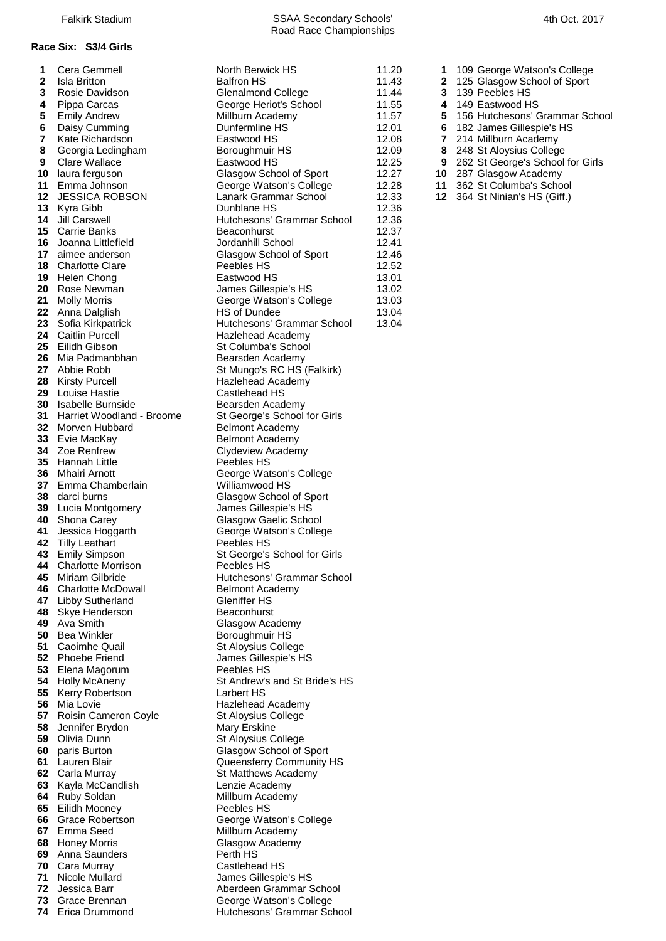### **Race Six: S3/4 Girls**

| 1        | Cera Gemmell                            |
|----------|-----------------------------------------|
| 2        | Isla Britton                            |
| 3        | Rosie Davidson                          |
| 4<br>5   | Pippa Carcas<br><b>Emily Andrew</b>     |
| 6        | Daisy Cumming                           |
| 7        | Kate Richardson                         |
| 8        | Georgia Ledingham                       |
| 9        | <b>Clare Wallace</b>                    |
| 10       | laura ferguson                          |
| 11       | Emma Johnson                            |
| 12       | <b>JESSICA ROBSON</b>                   |
| 13       | Kyra Gibb                               |
| 14       | Jill Carswell                           |
| 15       | Carrie Banks                            |
| 16<br>17 | Joanna Littlefield<br>aimee anderson    |
| 18       | <b>Charlotte Clare</b>                  |
| 19       | Helen Chong                             |
| 20       | Rose Newman                             |
| 21       | <b>Molly Morris</b>                     |
| 22       | Anna Dalglish                           |
| 23       | Sofia Kirkpatrick                       |
| 24       | <b>Caitlin Purcell</b>                  |
| 25       | Eilidh Gibson                           |
| 26       | Mia Padmanbhan                          |
| 27<br>28 | Abbie Robb<br><b>Kirsty Purcell</b>     |
| 29       | Louise Hastie                           |
| 30       | <b>Isabelle Burnside</b>                |
| 31       | Harriet Woodland - Broor                |
| 32       | Morven Hubbard                          |
| 33       | Evie MacKay                             |
| 34       | Zoe Renfrew                             |
| 35       | Hannah Little                           |
| 36       | Mhairi Arnott                           |
| 37       | Emma Chamberlain<br>darci burns         |
| 38<br>39 | Lucia Montgomery                        |
| 40       | Shona Carey                             |
| 41       | Jessica Hoggarth                        |
| 42       | <b>Tilly Leathart</b>                   |
| 43       | <b>Emily Simpson</b>                    |
| 44       | <b>Charlotte Morrison</b>               |
| 45       | Miriam Gilbride                         |
| 46       | <b>Charlotte McDowall</b>               |
| 47       | Libby Sutherland                        |
| 48<br>49 | Skye Henderson<br>Ava Smith             |
| 50       | Bea Winkler                             |
| 51       | Caoimhe Quail                           |
| 52       | Phoebe Friend                           |
| 53       | Elena Magorum                           |
| 54       | <b>Holly McAneny</b>                    |
| 55       | Kerry Robertson                         |
| 56       | Mia Lovie                               |
| 57<br>58 | Roisin Cameron Coyle<br>Jennifer Brydon |
| 59       | Olivia Dunn                             |
| 60       | paris Burton                            |
| 61       | Lauren Blair                            |
| 62       | Carla Murray                            |
| 63       | Kayla McCandlish                        |
| 64       | Ruby Soldan                             |
| 65       | Eilidh Mooney                           |
| 66       | <b>Grace Robertson</b>                  |
| 67       | Emma Seed                               |
| 68<br>69 | Honey Morris<br>Anna Saunders           |
| 70       | Cara Murray                             |
| 71       | Nicole Mullard                          |
| 72       | Jessica Barr                            |
|          |                                         |

**11.20 11.20 11.20 Cera George Watson's College Balfron HS<br>
<b>11.43** 2 125 Glasgow School of Sport **2** 125 Glasgow School of Sport<br>
Glenalmond College 11.44 **2** 125 Glasgow School of Sport<br>
11.44 **3** 139 Peebles HS **4** George Heriot's School Millburn Academy **Fillburn Academy 11.57 5** 156 Hutchesons' Grammar School<br>
Dunfermline HS 12.01 **6** 182 James Gillespie's HS **7** Kate Richardson Eastwood HS 12.08 **7** 214 Millburn Academy **8** Georgia Ledingham Boroughmuir HS 12.09 **8** 248 St Aloysius College Eastwood HS **12.25 9** 262 St George's School for Girls<br>
Glasgow School of Sport 12.27 **10** 287 Glasgow Academy Glasgow School of Sport 12.27 **10** 287 Glasgow Academy<br>George Watson's College 12.28 11 362 St Columba's Scho Lanark Grammar School 12.33 **12** 364 St Ninian's HS (Giff.) **Dunblane HS** 12.36 Hutchesons' Grammar School 12.36 **12.37<br>12.37 Beaconhurst Banks Beacon<br>12.41 Beacon Beacon Beacon Beacon Beacon Beacon Beacon Beacon Beacon Beacon Beacon Beacon Beacon Beacon Beaco 12.41** Jordanhill School<br>
Glasgow School of Sport 12.46 **Glasgow School of Sport** Peebles HS 12.52 Eastwood HS 13.01<br>James Gillespie's HS 13.02 **James Gillespie's HS 21** Molly Morris George Watson's College 13.03 **22** AS of Dundee 13.04<br> **222 Hutchesons' Grammar School** 13.04 **Hutchesons' Grammar School Hazlehead Academy 25** St Columba's School **Bearsden Academy 27 St Mungo's RC HS (Falkirk) Hazlehead Academy Castlehead HS** Bearsden Academy **31 311** St George's School for Girls **Belmont Academy Belmont Academy Clydeview Academy** Peebles HS **George Watson's College Williamwood HS Glasgow School of Sport** James Gillespie's HS **Glasgow Gaelic School** George Watson's College Peebles HS **5** St George's School for Girls Peebles HS **Hutchesons' Grammar School Belmont Academy Gleniffer HS Beaconhurst Glasgow Academy Boroughmuir HS St Aloysius College James Gillespie's HS Peebles HS St Andrew's and St Bride's HS Larbert HS Hazlehead Academy St Aloysius College Mary Erskine St Aloysius College Glasgow School of Sport Queensferry Community HS St Matthews Academy Lenzie Academy Millburn Academy Peebles HS George Watson's College Millburn Academy Glasgow Academy Perth HS Castlehead HS James Gillespie's HS** Aberdeen Grammar School **73** Grace Brennan George Watson's College **74** Erica Drummond Hutchesons' Grammar School

Road Race Championships

- 
- 
- 11.44 **3** 139 Peebles HS<br>11.55 **4** 149 Eastwood HS
	-
	-
- 12.01 **6** 182 James Gillespie's HS
	-
	-
	-
	-
	- **11** 362 St Columba's School
	-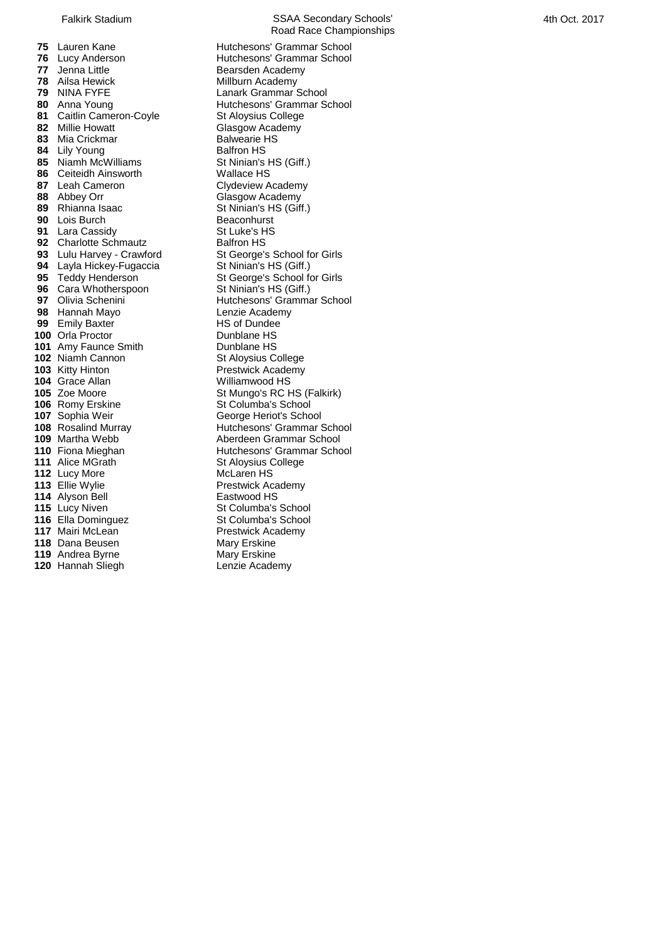Jenna Little **Consumers Consumer Bearsden Academy**<br> **78** Ailsa Hewick **Consumers Consumer Academy**  Ailsa Hewick **Millburn Academy**<br>**79 NINA FYFE** Lanark Grammar ( NINA FYFE Lanark Grammar School<br> **80** Anna Young **Lanary Hutchesons' Grammar School** 81 Caitlin Cameron-Coyle Millie Howatt Glasgow Academy<br> **83** Mia Crickmar Glasgow Academy<br>
Balwearie HS 83 Mia Crickmar Lily Young Balfron HS 85 Niamh McWilliams St Ninian's HS (Giff.) Ceiteidh Ainsworth **Canada Wallace HS**<br>**87** Leah Cameron **Clydeview A**  Abbey Orr Glasgow Academy<br> **89** Rhianna Isaac **Glasgow Academy**<br>
St Ninian's HS (Gift Lois Burch **Beaconhurst**<br> **91** Lara Cassidy **Burges** St Luke's HS Lara Cassidy **St Luke's HTM**<br> **92** Charlotte Schmautz Balfron HS Charlotte Schmautz<br>**93** Lulu Harvey - Crawford Layla Hickey-Fugaccia St Ninian's HS (Giff.)<br>**95** Teddy Henderson St George's School fo Cara Whotherspoon<br>**97** Olivia Schenini Hannah Mayo **Lenzie Academy Lenzie Academy**<br>**99** Emily Baxter **NATE CONTACT H**S of Dundee Emily Baxter Orla Proctor **Dunblane HS**  Amy Faunce Smith Dunblane HS Niamh Cannon St Aloysius College Kitty Hinton **104** Crace Allan **Prestwick Academy**<br>
104 Grace Allan **Property** Williamwood HS Grace Allan<br>**105** Zoe Moore Romy Erskine St Columba's School Sophia Weir George Heriot's School<br>**108** Rosalind Murray **George Hutchesons' Grammar** S Lucy More Ellie Wylie **Prestwick Academy**<br> **114** Alvson Bell **Press Eastwood HS**  Alyson Bell<br>**115** Lucy Niven Ella Dominguez<br>**117** Mairi McLean Dana Beusen Mary Erskine<br>**119** Andrea Byrne Mary Erskine Andrea Byrne Mary Erskine<br>**120** Hannah Sliegh **Mary Lenzie Academy 120 Hannah Sliegh** 

Falkirk Stadium **SSAA Secondary Schools'** Road Race Championships **75** Lauren Kane **Hutchesons' Grammar School**<br>**76** Lucy Anderson **Hutchesons' Grammar School 76** Lucy Anderson **1888** Hutchesons' Grammar School<br>**77** Jenna Little **1888** Bearsden Academy **Hutchesons' Grammar School<br>St Aloysius College Clydeview Academy 88** St Ninian's HS (Giff.)<br>Beaconhurst **St George's School for Girls** St George's School for Girls<br>St Ninian's HS (Giff.) Hutchesons' Grammar School<br>Lenzie Academy **St Mungo's RC HS (Falkirk) Hutchesons' Grammar School 109** Martha Webb **Aberdeen Grammar School 110** Fiona Mieghan **Hutchesons' Grammar School**<br>
111 Alice MGrath St Alovsius College **1111** St Aloysius College<br>McLaren HS **115** St Columba's School<br>**115** School **Prestwick Academy<br>Mary Erskine**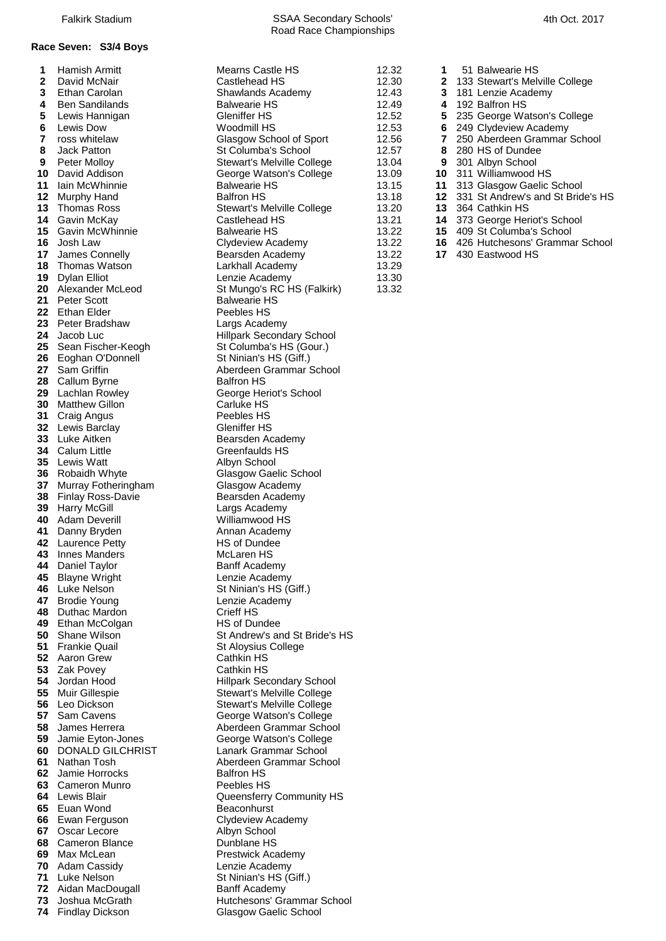### **Race Seven: S3/4 Boys**

| 1    | Hamish Armitt            | Mearns Castle HS                  | 12.32 | 1                       | 51 Balwearie HS      |
|------|--------------------------|-----------------------------------|-------|-------------------------|----------------------|
| 2    | David McNair             | Castlehead HS                     | 12.30 | 2                       | 133 Stewart's Mel    |
| 3    | Ethan Carolan            | Shawlands Academy                 | 12.43 | 3                       | 181 Lenzie Acade     |
| 4    | <b>Ben Sandilands</b>    | <b>Balwearie HS</b>               | 12.49 | 4                       | 192 Balfron HS       |
|      |                          | <b>Gleniffer HS</b>               | 12.52 |                         |                      |
| 5    | Lewis Hannigan           |                                   |       | 5                       | 235 George Wats      |
| 6    | Lewis Dow                | Woodmill HS                       | 12.53 | 6                       | 249 Clydeview Ac     |
| 7    | ross whitelaw            | Glasgow School of Sport           | 12.56 | $\overline{\mathbf{r}}$ | 250 Aberdeen Gra     |
| 8    | Jack Patton              | St Columba's School               | 12.57 | 8                       | 280 HS of Dundee     |
| 9    | Peter Molloy             | Stewart's Melville College        | 13.04 | 9                       | 301 Albyn School     |
| 10   | David Addison            | George Watson's College           | 13.09 |                         | 10 311 Williamwood   |
| 11   | Iain McWhinnie           | <b>Balwearie HS</b>               | 13.15 | 11                      | 313 Glasgow Gae      |
| 12   | Murphy Hand              | <b>Balfron HS</b>                 | 13.18 |                         | 12 331 St Andrew's a |
| 13   | Thomas Ross              | Stewart's Melville College        | 13.20 |                         | 13 364 Cathkin HS    |
| 14   |                          | Castlehead HS                     | 13.21 |                         | 14 373 George Herio  |
|      | Gavin McKay              |                                   |       |                         |                      |
| 15   | Gavin McWhinnie          | <b>Balwearie HS</b>               | 13.22 |                         | 15 409 St Columba's  |
| 16   | Josh Law                 | Clydeview Academy                 | 13.22 | 16                      | 426 Hutchesons' (    |
| 17   | James Connelly           | Bearsden Academy                  | 13.22 | 17                      | 430 Eastwood HS      |
| 18   | Thomas Watson            | Larkhall Academy                  | 13.29 |                         |                      |
| 19   | Dylan Elliot             | Lenzie Academy                    | 13.30 |                         |                      |
| 20   | Alexander McLeod         | St Mungo's RC HS (Falkirk)        | 13.32 |                         |                      |
| 21   | Peter Scott              | <b>Balwearie HS</b>               |       |                         |                      |
| 22   | Ethan Elder              | Peebles HS                        |       |                         |                      |
| 23   | Peter Bradshaw           |                                   |       |                         |                      |
|      |                          | Largs Academy                     |       |                         |                      |
| 24   | Jacob Luc                | <b>Hillpark Secondary School</b>  |       |                         |                      |
| 25   | Sean Fischer-Keogh       | St Columba's HS (Gour.)           |       |                         |                      |
| 26   | Eoghan O'Donnell         | St Ninian's HS (Giff.)            |       |                         |                      |
| 27   | <b>Sam Griffin</b>       | Aberdeen Grammar School           |       |                         |                      |
| 28   | Callum Byrne             | <b>Balfron HS</b>                 |       |                         |                      |
| 29   | Lachlan Rowley           | George Heriot's School            |       |                         |                      |
| 30   | <b>Matthew Gillon</b>    | Carluke HS                        |       |                         |                      |
| 31   | Craig Angus              | Peebles HS                        |       |                         |                      |
| 32   | Lewis Barclay            | Gleniffer HS                      |       |                         |                      |
| 33   | Luke Aitken              | Bearsden Academy                  |       |                         |                      |
|      |                          |                                   |       |                         |                      |
| 34   | Calum Little             | Greenfaulds HS                    |       |                         |                      |
| 35   | Lewis Watt               | Albyn School                      |       |                         |                      |
| 36   | Robaidh Whyte            | Glasgow Gaelic School             |       |                         |                      |
| 37   | Murray Fotheringham      | Glasgow Academy                   |       |                         |                      |
| 38   | <b>Finlay Ross-Davie</b> | Bearsden Academy                  |       |                         |                      |
| 39   | <b>Harry McGill</b>      | Largs Academy                     |       |                         |                      |
| 40   | Adam Deverill            | Williamwood HS                    |       |                         |                      |
| 41   | Danny Bryden             | Annan Academy                     |       |                         |                      |
| 42   | Laurence Petty           | HS of Dundee                      |       |                         |                      |
| 43   | Innes Manders            | McLaren HS                        |       |                         |                      |
|      |                          |                                   |       |                         |                      |
| 44   | Daniel Taylor            | Banff Academy                     |       |                         |                      |
| 45   | <b>Blayne Wright</b>     | Lenzie Academy                    |       |                         |                      |
|      | 46 Luke Nelson           | St Ninian's HS (Giff.)            |       |                         |                      |
|      | 47 Brodie Young          | Lenzie Academy                    |       |                         |                      |
| 48   | Duthac Mardon            | Crieff HS                         |       |                         |                      |
| 49   | Ethan McColgan           | <b>HS of Dundee</b>               |       |                         |                      |
| 50   | Shane Wilson             | St Andrew's and St Bride's HS     |       |                         |                      |
| 51   | <b>Frankie Quail</b>     | St Aloysius College               |       |                         |                      |
| 52   | Aaron Grew               | Cathkin HS                        |       |                         |                      |
|      | 53 Zak Povey             | Cathkin HS                        |       |                         |                      |
|      | 54 Jordan Hood           | <b>Hillpark Secondary School</b>  |       |                         |                      |
| 55   | Muir Gillespie           | Stewart's Melville College        |       |                         |                      |
|      | Leo Dickson              | <b>Stewart's Melville College</b> |       |                         |                      |
| 56   |                          |                                   |       |                         |                      |
| 57   | <b>Sam Cavens</b>        | George Watson's College           |       |                         |                      |
| 58   | James Herrera            | Aberdeen Grammar School           |       |                         |                      |
| 59   | Jamie Eyton-Jones        | George Watson's College           |       |                         |                      |
| 60   | DONALD GILCHRIST         | Lanark Grammar School             |       |                         |                      |
| 61   | Nathan Tosh              | Aberdeen Grammar School           |       |                         |                      |
| 62   | Jamie Horrocks           | Balfron HS                        |       |                         |                      |
| 63   | Cameron Munro            | Peebles HS                        |       |                         |                      |
|      | 64 Lewis Blair           | Queensferry Community HS          |       |                         |                      |
|      | 65 Euan Wond             | Beaconhurst                       |       |                         |                      |
|      | 66 Ewan Ferguson         | <b>Clydeview Academy</b>          |       |                         |                      |
|      |                          |                                   |       |                         |                      |
| 67 - | Oscar Lecore             | Albyn School                      |       |                         |                      |
| 68   | Cameron Blance           | Dunblane HS                       |       |                         |                      |
| 69   | Max McLean               | <b>Prestwick Academy</b>          |       |                         |                      |
| 70   | Adam Cassidy             | Lenzie Academy                    |       |                         |                      |
| 71   | Luke Nelson              | St Ninian's HS (Giff.)            |       |                         |                      |
|      | 72 Aidan MacDougall      | Banff Academy                     |       |                         |                      |
|      | 73 Joshua McGrath        | Hutchesons' Grammar School        |       |                         |                      |
|      | 74 Findlay Dickson       | Glasgow Gaelic School             |       |                         |                      |

**2** 133 Stewart's Melville College<br>
Shawlands Academy<br>
12.43 **3** 181 Lenzie Academy **5** Shawlands Academy **12.43 3** 181 Lenzie Academy **12.49 4** 192 Balfron HS **12.49 4** 192 Balfron HS<br> **Gleniffer HS** 12.52 **5** 235 George Wa **5** Lewis Hannigan Gleniffer HS 12.52 **5** 235 George Watson's College **6** Lewis Dow Woodmill HS 12.53 **6** 249 Clydeview Academy **7** ross whitelaw Glasgow School of Sport 12.56 **7** 250 Aberdeen Grammar School **8** Jack Patton St Columba's School 12.57 **8** 280 HS of Dundee **9 9** 301 Albyn School George Watson's College 13.04 **9** 301 Albyn School George Watson's College 13.09 **10** 311 Williamwood HS **10** George Watson's College 13.09<br>Balwearie HS 13.15 **12** 331 St Andrew's and St Bride's HS<br>
Stewart's Melville College 13.20 13.364 Cathkin HS **13.20 Stewart's Melville College** 13.20<br>Castlehead HS 13.21 **14** Gastlehead HS 13.21 **14** 373 George Heriot's School<br>
Balwearie HS 13.22 **15** 409 St Columba's School **15** Balwearie HS<br> **15** Galwearie HS<br> **15** Galwearie McGademy<br>
16 426 Hutchesons' Gramma **17** Bearsden Academy Larkhall Academy 13.29 Lenzie Academy<br>St Mungo's RC HS (Falkirk) 13.32 **20 Alexander St Mungo's RC HS (Falkirk) Balwearie HS** Peebles HS **Largs Academy Hillpark Secondary School 25** St Columba's HS (Gour.) **26** St Ninian's HS (Giff.) **Aberdeen Grammar School Balfron HS** George Heriot's School **Carluke HS** Peebles HS **Gleniffer HS Bearsden Academy Greenfaulds HS Albyn School Glasgow Gaelic School Glasgow Academy** Bearsden Academy **Largs Academy** Williamwood HS **Annan Academy HS of Dundee McLaren HS Banff Academy** Lenzie Academy **56** St Ninian's HS (Giff.) Lenzie Academy **Crieff HS HS of Dundee St Andrew's and St Bride's HS St Aloysius College Cathkin HS Cathkin HS Hillpark Secondary School Stewart's Melville College** Stewart's Melville College **George Watson's College** Aberdeen Grammar School **George Watson's College** Lanark Grammar School **Aberdeen Grammar School Balfron HS Peebles HS Queensferry Community HS Beaconhurst Clydeview Academy Albyn School Dunblane HS Prestwick Academy Lenzie Academy** *St Ninian's HS (Giff.)* **Banff Academy Hutchesons' Grammar School** 

Road Race Championships

- 
- 
- 
- 
- 
- 
- 
- 
- 
- **11** 313 Glasgow Gaelic School
- 
- 
- 
- 
- 13.22 **16** 426 Hutchesons' Grammar School<br>13.22 **17** 430 Eastwood HS
	-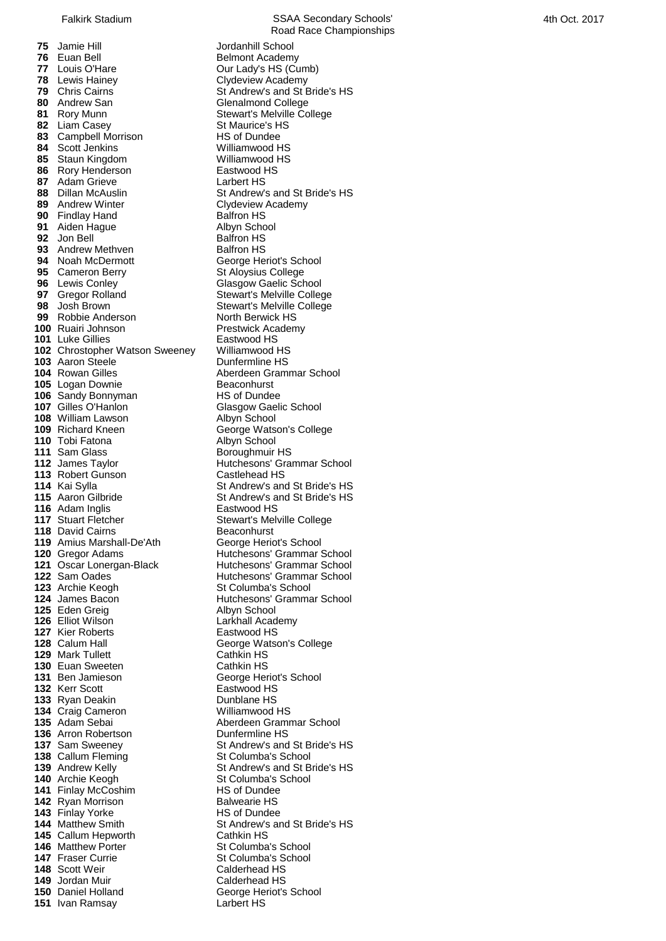Jamie Hill **1986**<br>**76** Fuan Bell **1986** Belmont Academ **Fuan Bell Communist Communist Bell Belmont Academy<br>
Louis O'Hare Count Count Count Count Count Count Count Count Count Count Count Count Count Count Count Count C**  Louis O'Hare **Canada Cour Lady's HS (Cumb)**<br> **78** Lewis Hainey **Clydeview Academy**  Lewis Hainey **Clydeview Academy**<br>**79** Chris Cairns **Club Containery** St Andrew's and St I 81 Rory Munn Stewart's Melville College Liam Casey **State Case State Convertsed State Case State Case State Case State Case State Case State Case State Case State Case State Case State Case State Case State Case State Case State Case State Case State Case S**  Campbell Morrison Scott Jenkins Williamwood HS Staun Kingdom **Milliamwood HS**<br> **86** Rorv Henderson **Milliamwood HS**  Rory Henderson **Eastwood**<br>**87** Adam Grieve **EastWood** Larbert HS **Adam Grieve**  Findlay Hand Balfron HS<br> **91** Aiden Haque Albyn School Aiden Hague **Albyn School Albyn School Albyn School Albyn School Albyn School Albyn School Albyn School Albyn School Albyn School Albyn School Albyn School Albyn School Albyn School Albyn School Albyn School Albyn Sch 92** Jon Bell Andrew Methven **Balfron HS**<br>**94** Noah McDermott **Balfron HS** George He Cameron Berry **State St Aloysius College**<br> **96** Lewis Conley **State State College** Glasgow Gaelic Sch Gregor Rolland Stewart's Melville College<br> **98** Josh Brown Stewart's Melville College Robbie Anderson North Berwick HS Ruairi Johnson **Prestwick Academy**<br> **101** Luke Gillies **Preserved ACTION**  Luke Gillies Chrostopher Watson Sweeney Williamwood HS Aaron Steele<br>**104** Rowan Gilles Logan Downie **Beaconhurst**<br>**106** Sandy Bonnyman **Brand HS** of Dundee Sandy Bonnyman **HS** of Dundee Gilles O'Hanlon Glasgow Gaelic School 108 William Lawson Albyn School Richard Kneen **George Watson's College**  Tobi Fatona **Albyn School**  Sam Glass **Boroughmuir HS**<br> **112** James Tavlor **Boroughmuir HS**<br>
Hutchesons' Gra Robert Gunson **Castlehead HS**<br>**114** Kai Svlla Communist Cast Andrew's and Adam Inglis<br>**117** Stuart Fletcher David Cairns<br> **119** Amius Marshall-De'Ath **Beacon George Heriot's School**  Amius Marshall-De'Ath Eden Greig<br>**126** Elliot Wilson Kier Roberts **Eastwood HS**<br> **128** Calum Hall **Eastwood HS**  Mark Tullett **Cathkin HS**<br>**130 Euan Sweeten** Cathkin HS Euan Sweeten<br>**131** Ben Jamieson Kerr Scott Ryan Deakin Dunblane HS Craig Cameron **135** Adam Sebai **135** Adam Sebai **135** Aberdeen Gramm Arron Robertson Callum Fleming St Columba's School Finlay McCoshim Ryan Morrison **Balwearie HS**<br>**143** Finlav Yorke **Balm HS** of Dundee Finlay Yorke<br>**144** Matthew Smith Callum Hepworth Matthew Porter **146** St Columba's School<br>**147** Fraser Currie **St Columba's School**  Scott Weir Jordan Muir **Calderhead HS**<br>**150** Daniel Holland **Calder Contact Herith** 

Road Race Championships **79** Chris Cairns **79** Chris Cairns St Andrew's and St Bride's HS<br> **80** Andrew San **St Andrew St Andrew St Andrew St Andrew St Andrew St Andrew St Andrew St Andrew St Andrew St Andrew St Andrew St Andrew St Andrew St Andre Glenalmond College 88** Dillan McAuslin St Andrew's and St Bride's HS<br> **89** Andrew Winter Clydeview Academy *<u>Clydeview Academy</u>* **George Heriot's School Glasgow Gaelic School** Stewart's Melville College **Aberdeen Grammar School**<br>Beaconburst **Hutchesons' Grammar School St Andrew's and St Bride's HS 115** Aaron Gilbride St Andrew's and St Bride's HS<br>**116** Adam Inglis **St Andrew** Eastwood HS **Stewart's Melville College<br>Beaconhurst 120** Gregor Adams **120** Hutchesons' Grammar School<br>**121** Oscar Lonergan-Black **Hutchesons' Grammar School Hutchesons' Grammar School 122** Sam Oades **National School**<br> **123** Archie Keogh **Marson State School**<br>
St Columba's School **St Columba's School 124** James Bacon **125** Hutchesons' Grammar School<br>**125** Eden Greig **Albyn School Larkhall Academy George Watson's College 131** Beorge Heriot's School<br>Fastwood HS Aberdeen Grammar School<br>Dunfermline HS **137** Sam Sweeney St Andrew's and St Bride's HS **139** Andrew Kelly **139** Andrew's and St Bride's HS<br> **140** Archie Keogh St Columba's School **140** St Columba's School<br>**145** of Dundee **1444** St Andrew's and St Bride's HS<br>Cathkin HS **147** St Columba's School<br>Calderhead HS **George Heriot's School 151** Ivan Ramsay Larbert HS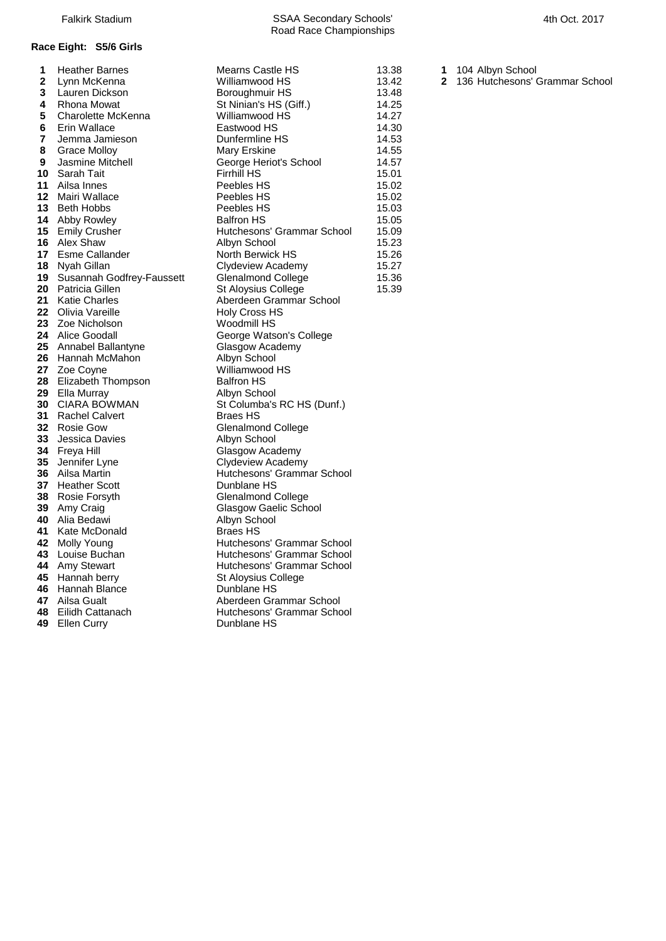| 1            | <b>Heather Barnes</b>        | Mearns Castle HS                       | 13.38 | 1            | 104 Albyn School               |
|--------------|------------------------------|----------------------------------------|-------|--------------|--------------------------------|
| $\mathbf{2}$ | Lynn McKenna                 | Williamwood HS                         | 13.42 | $\mathbf{2}$ | 136 Hutchesons' Grammar School |
| 3            | Lauren Dickson               | Boroughmuir HS                         | 13.48 |              |                                |
| 4            | Rhona Mowat                  | St Ninian's HS (Giff.)                 | 14.25 |              |                                |
| 5            | Charolette McKenna           | Williamwood HS                         | 14.27 |              |                                |
| 6            | Erin Wallace                 | Eastwood HS                            | 14.30 |              |                                |
| 7            | Jemma Jamieson               | Dunfermline HS                         | 14.53 |              |                                |
| 8            | Grace Molloy                 | Mary Erskine                           | 14.55 |              |                                |
| 9            | Jasmine Mitchell             | George Heriot's School                 | 14.57 |              |                                |
| 10           | Sarah Tait                   | <b>Firrhill HS</b>                     | 15.01 |              |                                |
| 11           | Ailsa Innes                  | Peebles HS                             | 15.02 |              |                                |
|              | <b>12</b> Mairi Wallace      | Peebles HS                             | 15.02 |              |                                |
| 13           | <b>Beth Hobbs</b>            | Peebles HS                             | 15.03 |              |                                |
|              | 14 Abby Rowley               | <b>Balfron HS</b>                      | 15.05 |              |                                |
|              | 15 Emily Crusher             | Hutchesons' Grammar School             | 15.09 |              |                                |
|              | <b>16</b> Alex Shaw          | Albyn School                           | 15.23 |              |                                |
|              | 17 Esme Callander            | North Berwick HS                       | 15.26 |              |                                |
|              | <b>18</b> Nyah Gillan        | Clydeview Academy                      | 15.27 |              |                                |
|              | 19 Susannah Godfrey-Faussett | <b>Glenalmond College</b>              | 15.36 |              |                                |
|              | <b>20</b> Patricia Gillen    | St Aloysius College                    | 15.39 |              |                                |
|              | 21 Katie Charles             | Aberdeen Grammar School                |       |              |                                |
| 22           | Olivia Vareille              | Holy Cross HS                          |       |              |                                |
|              | 23 Zoe Nicholson             | Woodmill HS                            |       |              |                                |
|              | <b>24</b> Alice Goodall      | George Watson's College                |       |              |                                |
|              | 25 Annabel Ballantyne        | Glasgow Academy                        |       |              |                                |
|              | 26 Hannah McMahon            | Albyn School                           |       |              |                                |
|              | 27 Zoe Coyne                 | Williamwood HS                         |       |              |                                |
|              | 28 Elizabeth Thompson        | <b>Balfron HS</b>                      |       |              |                                |
|              | 29 Ella Murray               | Albyn School                           |       |              |                                |
|              | <b>30 CIARA BOWMAN</b>       | St Columba's RC HS (Dunf.)             |       |              |                                |
| 31           | Rachel Calvert               | <b>Braes HS</b>                        |       |              |                                |
|              | 32 Rosie Gow                 | <b>Glenalmond College</b>              |       |              |                                |
| 33           | <b>Jessica Davies</b>        | Albyn School                           |       |              |                                |
|              | 34 Freya Hill                | Glasgow Academy                        |       |              |                                |
| 35           | Jennifer Lyne                | Clydeview Academy                      |       |              |                                |
|              | 36 Ailsa Martin              | Hutchesons' Grammar School             |       |              |                                |
|              | 37 Heather Scott             | Dunblane HS                            |       |              |                                |
|              | 38 Rosie Forsyth             | <b>Glenalmond College</b>              |       |              |                                |
|              | 39 Amy Craig                 | Glasgow Gaelic School                  |       |              |                                |
|              | 40 Alia Bedawi               | Albyn School                           |       |              |                                |
|              | 41 Kate McDonald             | <b>Braes HS</b>                        |       |              |                                |
|              | 42 Molly Young               | Hutchesons' Grammar School             |       |              |                                |
|              | 43 Louise Buchan             | Hutchesons' Grammar School             |       |              |                                |
|              | 44 Amy Stewart               | Hutchesons' Grammar School             |       |              |                                |
|              | 45 Hannah berry              | St Aloysius College                    |       |              |                                |
| 46<br>47     | Hannah Blance                | Dunblane HS<br>Aberdeen Grammar School |       |              |                                |
|              | Ailsa Gualt                  |                                        |       |              |                                |
| 48           | Eilidh Cattanach             | Hutchesons' Grammar School             |       |              |                                |

Ellen Curry **Dunblane HS**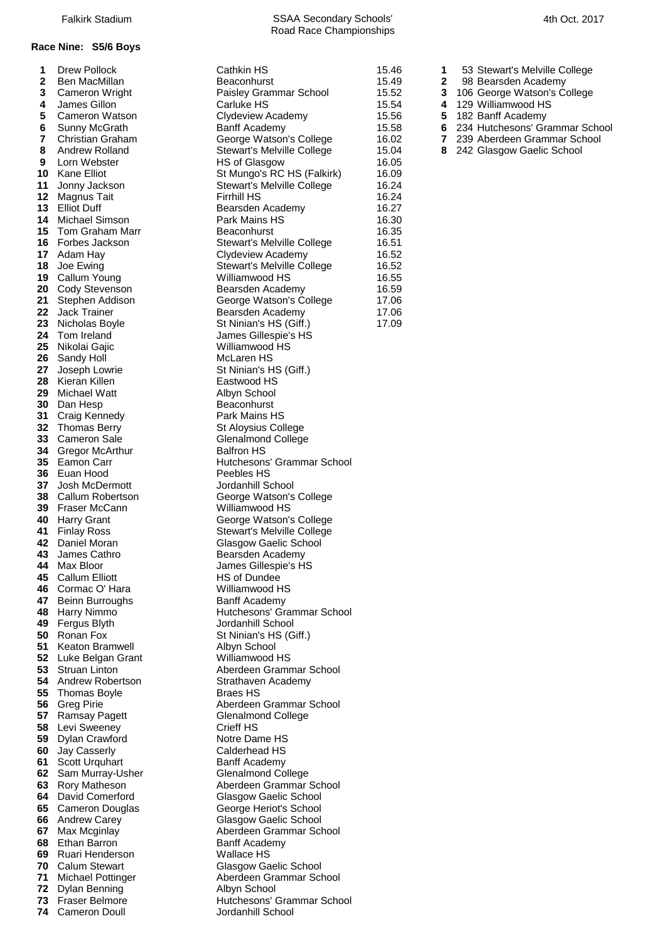## **Race Nine: S5/6 Boys**

| Т.<br>$\overline{2}$ | <b>DIEW POIIOCK</b>                           | Gathkin HS                                      |
|----------------------|-----------------------------------------------|-------------------------------------------------|
| 3                    | Ben MacMillan<br>Cameron Wright               | Beaconhurst<br>Paisley Grammar Scho             |
| 4                    | James Gillon                                  | Carluke HS                                      |
| 5                    | Cameron Watson                                | Clydeview Academy                               |
| 6                    | Sunny McGrath                                 | <b>Banff Academy</b>                            |
| 7                    | Christian Graham                              | George Watson's Colle                           |
| 8                    | <b>Andrew Rolland</b>                         | <b>Stewart's Melville Colle</b>                 |
| 9                    | Lorn Webster                                  | HS of Glasgow                                   |
| 10                   | <b>Kane Elliot</b>                            | St Mungo's RC HS (Fal                           |
| 11                   | Jonny Jackson                                 | <b>Stewart's Melville Colle</b>                 |
| 12                   | Magnus Tait                                   | <b>Firrhill HS</b>                              |
| 13                   | <b>Elliot Duff</b>                            | Bearsden Academy                                |
| 14                   | Michael Simson                                | Park Mains HS                                   |
| 15<br>16             | Tom Graham Marr<br>Forbes Jackson             | Beaconhurst<br><b>Stewart's Melville Colle</b>  |
| 17                   | Adam Hay                                      | Clydeview Academy                               |
| 18                   | Joe Ewing                                     | <b>Stewart's Melville Colle</b>                 |
| 19                   | Callum Young                                  | Williamwood HS                                  |
| 20                   | Cody Stevenson                                | Bearsden Academy                                |
| 21                   | Stephen Addison                               | George Watson's Colle                           |
| 22                   | <b>Jack Trainer</b>                           | Bearsden Academy                                |
| 23                   | Nicholas Boyle                                | St Ninian's HS (Giff.)                          |
| 24                   | Tom Ireland                                   | James Gillespie's HS                            |
| 25<br>26             | Nikolai Gajic<br>Sandy Holl                   | Williamwood HS<br>McLaren HS                    |
| 27                   | Joseph Lowrie                                 | St Ninian's HS (Giff.)                          |
| 28                   | Kieran Killen                                 | Eastwood HS                                     |
| 29                   | <b>Michael Watt</b>                           | Albyn School                                    |
| 30                   | Dan Hesp                                      | Beaconhurst                                     |
| 31                   | Craig Kennedy                                 | Park Mains HS                                   |
| 32                   | <b>Thomas Berry</b>                           | St Aloysius College                             |
| 33                   | Cameron Sale                                  | Glenalmond College                              |
| 34                   | Gregor McArthur                               | <b>Balfron HS</b>                               |
| 35<br>36             | Eamon Carr<br>Euan Hood                       | Hutchesons' Grammar<br>Peebles HS               |
| 37                   | Josh McDermott                                | Jordanhill School                               |
| 38                   | Callum Robertson                              | George Watson's Colle                           |
| 39                   | Fraser McCann                                 | Williamwood HS                                  |
| 40                   | Harry Grant                                   | George Watson's Colle                           |
|                      | 41 Finlay Ross                                | <b>Stewart's Melville Colle</b>                 |
|                      | 42 Daniel Moran                               | Glasgow Gaelic School                           |
| 43<br>44             | James Cathro<br>Max Bloor                     | Bearsden Academy                                |
| 45                   | <b>Callum Elliott</b>                         | James Gillespie's HS<br><b>HS of Dundee</b>     |
| 46                   | Cormac O' Hara                                | Williamwood HS                                  |
| 47                   | Beinn Burroughs                               | <b>Banff Academy</b>                            |
| 48                   | Harry Nimmo                                   | Hutchesons' Grammar                             |
| 49                   | Fergus Blyth                                  | Jordanhill School                               |
| 50                   | Ronan Fox                                     | St Ninian's HS (Giff.)                          |
| 51                   | <b>Keaton Bramwell</b>                        | Albyn School                                    |
| 52                   | Luke Belgan Grant                             | Williamwood HS                                  |
| 53<br>54             | <b>Struan Linton</b>                          | Aberdeen Grammar Sc                             |
| 55                   | Andrew Robertson<br><b>Thomas Boyle</b>       | Strathaven Academy<br><b>Braes HS</b>           |
| 56                   | <b>Greg Pirie</b>                             | Aberdeen Grammar Sc                             |
| 57                   | Ramsay Pagett                                 | <b>Glenalmond College</b>                       |
| 58                   | Levi Sweeney                                  | Crieff HS                                       |
| 59                   | Dylan Crawford                                | Notre Dame HS                                   |
| 60                   | Jay Casserly                                  | Calderhead HS                                   |
| 61                   | Scott Urquhart                                | <b>Banff Academy</b>                            |
| 62                   | Sam Murray-Usher                              | <b>Glenalmond College</b>                       |
| 63                   | Rory Matheson                                 | Aberdeen Grammar Sc                             |
| 64<br>65             | David Comerford<br><b>Cameron Douglas</b>     | Glasgow Gaelic School<br>George Heriot's School |
| 66                   | <b>Andrew Carey</b>                           | Glasgow Gaelic School                           |
| 67                   | Max Mcginlay                                  | Aberdeen Grammar Sc                             |
| 68                   | Ethan Barron                                  | <b>Banff Academy</b>                            |
| 69                   | Ruari Henderson                               | Wallace HS                                      |
| 70                   | <b>Calum Stewart</b>                          | Glasgow Gaelic School                           |
| 71                   | <b>Michael Pottinger</b>                      | Aberdeen Grammar Sc                             |
| 72                   | Dylan Benning                                 | Albyn School                                    |
| 73<br>74             | <b>Fraser Belmore</b><br><b>Cameron Doull</b> | Hutchesons' Grammar<br>Jordanhill School        |
|                      |                                               |                                                 |

| 1        | <b>Drew Pollock</b>                       | <b>Cathkin HS</b>                                     | 15.46          |
|----------|-------------------------------------------|-------------------------------------------------------|----------------|
| 2        | Ben MacMillan                             | Beaconhurst                                           | 15.49          |
| 3        | Cameron Wright                            | Paisley Grammar School                                | 15.52          |
| 4        | James Gillon                              | Carluke HS                                            | 15.54          |
| 5        | <b>Cameron Watson</b>                     | Clydeview Academy                                     | 15.56          |
| 6        | Sunny McGrath                             | <b>Banff Academy</b>                                  | 15.58          |
| 7<br>8   | <b>Christian Graham</b><br>Andrew Rolland | George Watson's College                               | 16.02<br>15.04 |
| 9        | Lorn Webster                              | Stewart's Melville College<br>HS of Glasgow           | 16.05          |
| 10       | Kane Elliot                               | St Mungo's RC HS (Falkirk)                            | 16.09          |
| 11       | Jonny Jackson                             | Stewart's Melville College                            | 16.24          |
| 12       | <b>Magnus Tait</b>                        | <b>Firrhill HS</b>                                    | 16.24          |
| 13       | <b>Elliot Duff</b>                        | Bearsden Academy                                      | 16.27          |
| 14       | Michael Simson                            | Park Mains HS                                         | 16.30          |
| 15       | Tom Graham Marr                           | Beaconhurst                                           | 16.35          |
| 16       | Forbes Jackson                            | Stewart's Melville College                            | 16.51          |
| 17       | Adam Hay                                  | <b>Clydeview Academy</b>                              | 16.52          |
| 18       | Joe Ewing                                 | Stewart's Melville College                            | 16.52          |
| 19       | Callum Young                              | Williamwood HS                                        | 16.55          |
| 20       | Cody Stevenson                            | Bearsden Academy                                      | 16.59          |
| 21       | Stephen Addison                           | George Watson's College                               | 17.06          |
| 22       | <b>Jack Trainer</b>                       | Bearsden Academy                                      | 17.06          |
| 23       | Nicholas Boyle                            | St Ninian's HS (Giff.)                                | 17.09          |
| 24       | Tom Ireland                               | James Gillespie's HS                                  |                |
| 25<br>26 | Nikolai Gajic                             | Williamwood HS<br>McLaren HS                          |                |
| 27       | Sandy Holl<br>Joseph Lowrie               | St Ninian's HS (Giff.)                                |                |
| 28       | Kieran Killen                             | Eastwood HS                                           |                |
| 29       | <b>Michael Watt</b>                       | Albyn School                                          |                |
| 30       | Dan Hesp                                  | Beaconhurst                                           |                |
| 31       | Craig Kennedy                             | Park Mains HS                                         |                |
| 32       | <b>Thomas Berry</b>                       | St Aloysius College                                   |                |
| 33       | <b>Cameron Sale</b>                       | <b>Glenalmond College</b>                             |                |
| 34       | Gregor McArthur                           | <b>Balfron HS</b>                                     |                |
| 35       | Eamon Carr                                | Hutchesons' Grammar School                            |                |
| 36       | Euan Hood                                 | Peebles HS                                            |                |
| 37       | Josh McDermott                            | Jordanhill School                                     |                |
| 38       | Callum Robertson                          | George Watson's College                               |                |
| 39       | Fraser McCann                             | Williamwood HS                                        |                |
| 40<br>41 | <b>Harry Grant</b><br><b>Finlay Ross</b>  | George Watson's College<br>Stewart's Melville College |                |
| 42       | Daniel Moran                              | Glasgow Gaelic School                                 |                |
| 43       | James Cathro                              | Bearsden Academy                                      |                |
| 44       | Max Bloor                                 | James Gillespie's HS                                  |                |
| 45       | <b>Callum Elliott</b>                     | HS of Dundee                                          |                |
| 46       | Cormac O' Hara                            | Williamwood HS                                        |                |
| 47       | <b>Beinn Burroughs</b>                    | Banff Academy                                         |                |
| 48       | Harry Nimmo                               | Hutchesons' Grammar School                            |                |
| 49       | Fergus Blyth                              | Jordanhill School                                     |                |
| 50       | Ronan Fox                                 | St Ninian's HS (Giff.)                                |                |
| 51       | <b>Keaton Bramwell</b>                    | Albyn School                                          |                |
| 52       | Luke Belgan Grant                         | Williamwood HS                                        |                |
| 53<br>54 | Struan Linton<br>Andrew Robertson         | Aberdeen Grammar School<br>Strathaven Academy         |                |
| 55       | <b>Thomas Boyle</b>                       | <b>Braes HS</b>                                       |                |
| 56       | <b>Greg Pirie</b>                         | Aberdeen Grammar School                               |                |
| 57       | <b>Ramsay Pagett</b>                      | <b>Glenalmond College</b>                             |                |
| 58       | Levi Sweeney                              | Crieff HS                                             |                |
| 59       | Dylan Crawford                            | Notre Dame HS                                         |                |
| 60       | Jay Casserly                              | Calderhead HS                                         |                |
| 61       | <b>Scott Urquhart</b>                     | <b>Banff Academy</b>                                  |                |
| 62       | Sam Murray-Usher                          | <b>Glenalmond College</b>                             |                |
| 63       | Rory Matheson                             | Aberdeen Grammar School                               |                |
| 64       | David Comerford                           | Glasgow Gaelic School                                 |                |
| 65       | <b>Cameron Douglas</b>                    | George Heriot's School                                |                |
| 66       | <b>Andrew Carey</b>                       | Glasgow Gaelic School                                 |                |
| 67       | Max Mcginlay                              | Aberdeen Grammar School                               |                |
| 68<br>69 | Ethan Barron<br>Ruari Henderson           | <b>Banff Academy</b><br><b>Wallace HS</b>             |                |
| 70       | <b>Calum Stewart</b>                      | Glasgow Gaelic School                                 |                |
| 71       | <b>Michael Pottinger</b>                  | Aberdeen Grammar School                               |                |
| 72       | Dylan Benning                             | Albyn School                                          |                |
| 73       | Fraser Belmore                            | Hutchesons' Grammar School                            |                |
| 74       | <b>Cameron Doull</b>                      | Jordanhill School                                     |                |

- 53 Stewart's Melville College
- 98 Bearsden Academy
- 106 George Watson's College
- 129 Williamwood HS
- 182 Banff Academy
- 234 Hutchesons' Grammar School
- 239 Aberdeen Grammar School
- 242 Glasgow Gaelic School